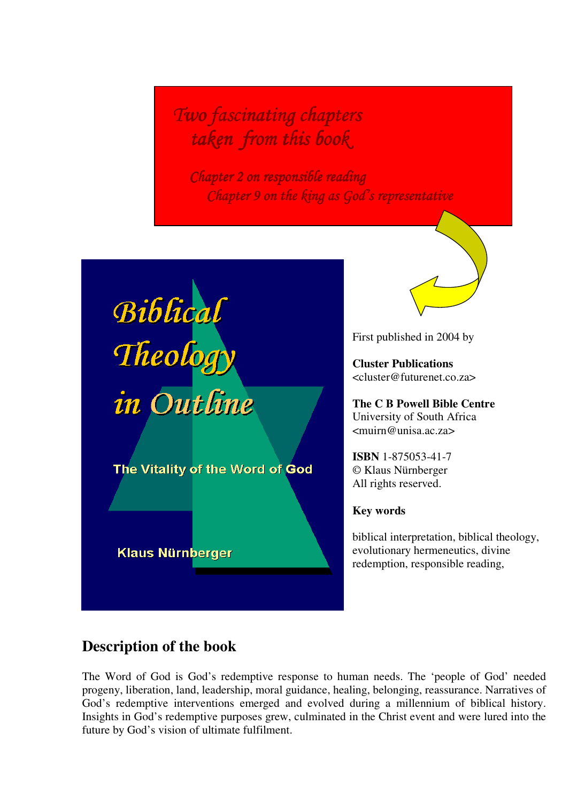# Two fascinating chapters taken from this book

Chapter 2 on responsible reading Chapter 9 on the king as God's representative





First published in 2004 by

**Cluster Publications** <cluster@futurenet.co.za>

**The C B Powell Bible Centre** University of South Africa <muirn@unisa.ac.za>

**ISBN** 1-875053-41-7 © Klaus Nürnberger All rights reserved.

### **Key words**

biblical interpretation, biblical theology, evolutionary hermeneutics, divine redemption, responsible reading,

# **Description of the book**

The Word of God is God's redemptive response to human needs. The 'people of God' needed progeny, liberation, land, leadership, moral guidance, healing, belonging, reassurance. Narratives of God's redemptive interventions emerged and evolved during a millennium of biblical history. Insights in God's redemptive purposes grew, culminated in the Christ event and were lured into the future by God's vision of ultimate fulfilment.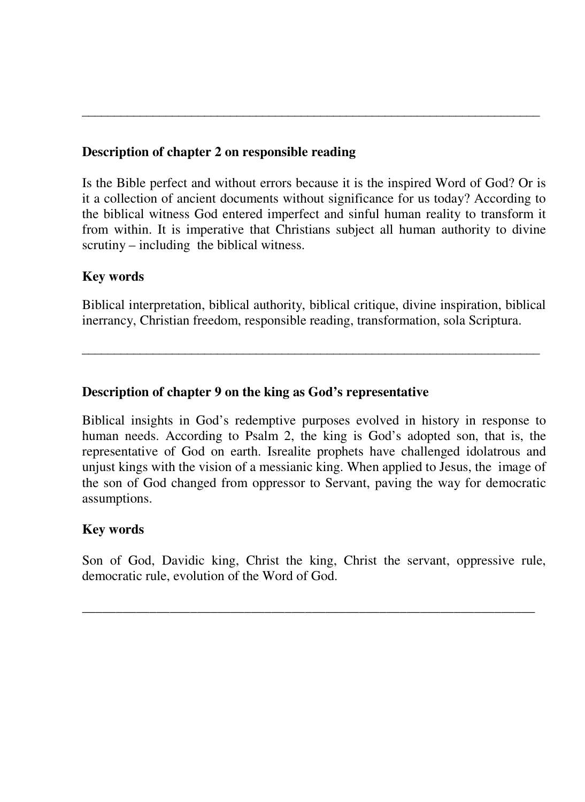# **Description of chapter 2 on responsible reading**

Is the Bible perfect and without errors because it is the inspired Word of God? Or is it a collection of ancient documents without significance for us today? According to the biblical witness God entered imperfect and sinful human reality to transform it from within. It is imperative that Christians subject all human authority to divine scrutiny – including the biblical witness.

\_\_\_\_\_\_\_\_\_\_\_\_\_\_\_\_\_\_\_\_\_\_\_\_\_\_\_\_\_\_\_\_\_\_\_\_\_\_\_\_\_\_\_\_\_\_\_\_\_\_\_\_\_\_\_\_\_\_\_\_\_\_\_\_\_\_\_\_\_\_\_

# **Key words**

Biblical interpretation, biblical authority, biblical critique, divine inspiration, biblical inerrancy, Christian freedom, responsible reading, transformation, sola Scriptura.

\_\_\_\_\_\_\_\_\_\_\_\_\_\_\_\_\_\_\_\_\_\_\_\_\_\_\_\_\_\_\_\_\_\_\_\_\_\_\_\_\_\_\_\_\_\_\_\_\_\_\_\_\_\_\_\_\_\_\_\_\_\_\_\_\_\_\_\_\_\_\_

# **Description of chapter 9 on the king as God's representative**

Biblical insights in God's redemptive purposes evolved in history in response to human needs. According to Psalm 2, the king is God's adopted son, that is, the representative of God on earth. Isrealite prophets have challenged idolatrous and unjust kings with the vision of a messianic king. When applied to Jesus, the image of the son of God changed from oppressor to Servant, paving the way for democratic assumptions.

# **Key words**

Son of God, Davidic king, Christ the king, Christ the servant, oppressive rule, democratic rule, evolution of the Word of God.

\_\_\_\_\_\_\_\_\_\_\_\_\_\_\_\_\_\_\_\_\_\_\_\_\_\_\_\_\_\_\_\_\_\_\_\_\_\_\_\_\_\_\_\_\_\_\_\_\_\_\_\_\_\_\_\_\_\_\_\_\_\_\_\_\_\_\_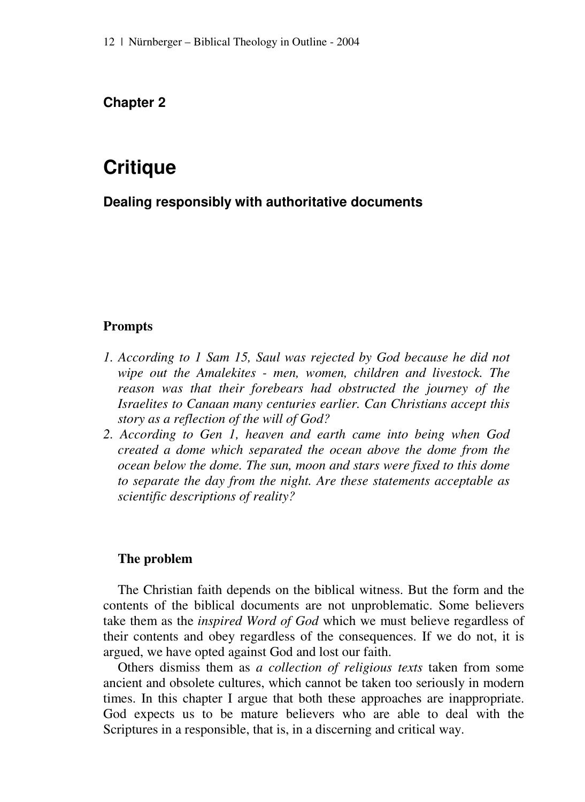### **Chapter 2**

# **Critique**

**Dealing responsibly with authoritative documents** 

### **Prompts**

- *1. According to 1 Sam 15, Saul was rejected by God because he did not wipe out the Amalekites - men, women, children and livestock. The reason was that their forebears had obstructed the journey of the Israelites to Canaan many centuries earlier. Can Christians accept this story as a reflection of the will of God?*
- *2. According to Gen 1, heaven and earth came into being when God created a dome which separated the ocean above the dome from the ocean below the dome. The sun, moon and stars were fixed to this dome to separate the day from the night. Are these statements acceptable as scientific descriptions of reality?*

### **The problem**

The Christian faith depends on the biblical witness. But the form and the contents of the biblical documents are not unproblematic. Some believers take them as the *inspired Word of God* which we must believe regardless of their contents and obey regardless of the consequences. If we do not, it is argued, we have opted against God and lost our faith.

Others dismiss them as *a collection of religious texts* taken from some ancient and obsolete cultures, which cannot be taken too seriously in modern times. In this chapter I argue that both these approaches are inappropriate. God expects us to be mature believers who are able to deal with the Scriptures in a responsible, that is, in a discerning and critical way.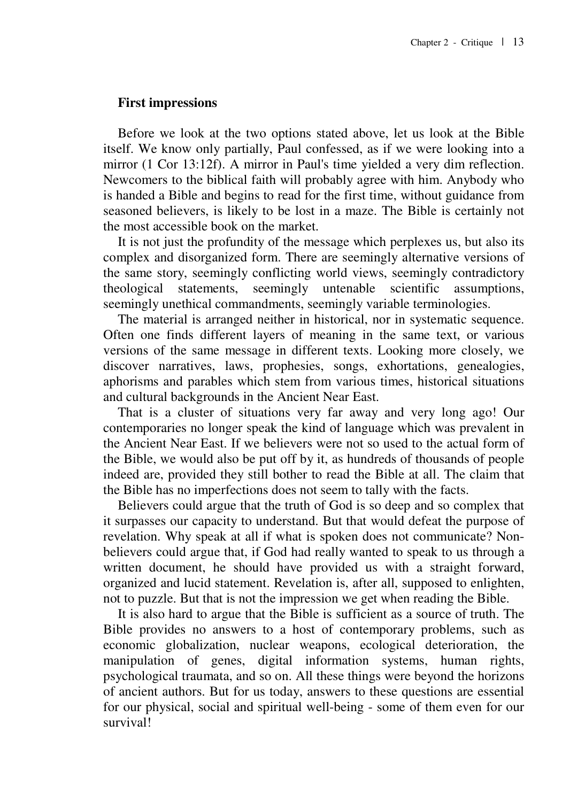### **First impressions**

Before we look at the two options stated above, let us look at the Bible itself. We know only partially, Paul confessed, as if we were looking into a mirror (1 Cor 13:12f). A mirror in Paul's time yielded a very dim reflection. Newcomers to the biblical faith will probably agree with him. Anybody who is handed a Bible and begins to read for the first time, without guidance from seasoned believers, is likely to be lost in a maze. The Bible is certainly not the most accessible book on the market.

It is not just the profundity of the message which perplexes us, but also its complex and disorganized form. There are seemingly alternative versions of the same story, seemingly conflicting world views, seemingly contradictory theological statements, seemingly untenable scientific assumptions, seemingly unethical commandments, seemingly variable terminologies.

The material is arranged neither in historical, nor in systematic sequence. Often one finds different layers of meaning in the same text, or various versions of the same message in different texts. Looking more closely, we discover narratives, laws, prophesies, songs, exhortations, genealogies, aphorisms and parables which stem from various times, historical situations and cultural backgrounds in the Ancient Near East.

That is a cluster of situations very far away and very long ago! Our contemporaries no longer speak the kind of language which was prevalent in the Ancient Near East. If we believers were not so used to the actual form of the Bible, we would also be put off by it, as hundreds of thousands of people indeed are, provided they still bother to read the Bible at all. The claim that the Bible has no imperfections does not seem to tally with the facts.

Believers could argue that the truth of God is so deep and so complex that it surpasses our capacity to understand. But that would defeat the purpose of revelation. Why speak at all if what is spoken does not communicate? Nonbelievers could argue that, if God had really wanted to speak to us through a written document, he should have provided us with a straight forward, organized and lucid statement. Revelation is, after all, supposed to enlighten, not to puzzle. But that is not the impression we get when reading the Bible.

It is also hard to argue that the Bible is sufficient as a source of truth. The Bible provides no answers to a host of contemporary problems, such as economic globalization, nuclear weapons, ecological deterioration, the manipulation of genes, digital information systems, human rights, psychological traumata, and so on. All these things were beyond the horizons of ancient authors. But for us today, answers to these questions are essential for our physical, social and spiritual well-being - some of them even for our survival!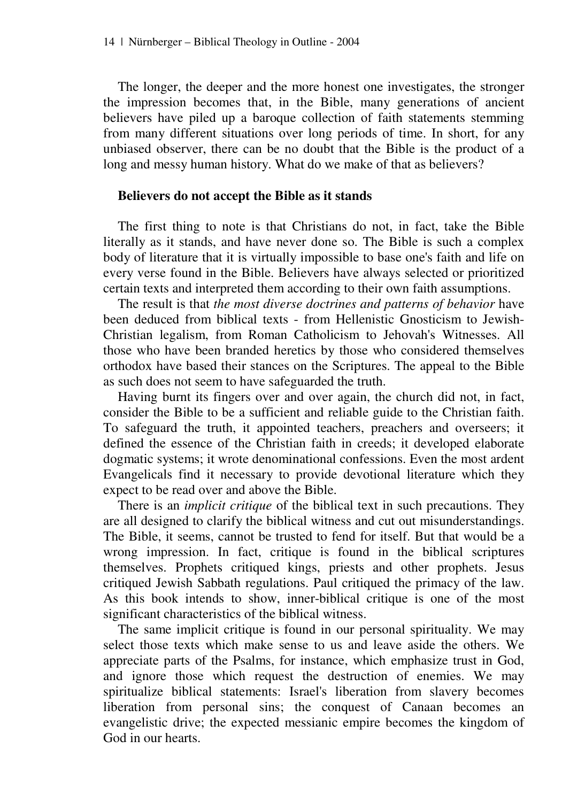The longer, the deeper and the more honest one investigates, the stronger the impression becomes that, in the Bible, many generations of ancient believers have piled up a baroque collection of faith statements stemming from many different situations over long periods of time. In short, for any unbiased observer, there can be no doubt that the Bible is the product of a long and messy human history. What do we make of that as believers?

### **Believers do not accept the Bible as it stands**

The first thing to note is that Christians do not, in fact, take the Bible literally as it stands, and have never done so. The Bible is such a complex body of literature that it is virtually impossible to base one's faith and life on every verse found in the Bible. Believers have always selected or prioritized certain texts and interpreted them according to their own faith assumptions.

The result is that *the most diverse doctrines and patterns of behavior* have been deduced from biblical texts - from Hellenistic Gnosticism to Jewish-Christian legalism, from Roman Catholicism to Jehovah's Witnesses. All those who have been branded heretics by those who considered themselves orthodox have based their stances on the Scriptures. The appeal to the Bible as such does not seem to have safeguarded the truth.

Having burnt its fingers over and over again, the church did not, in fact, consider the Bible to be a sufficient and reliable guide to the Christian faith. To safeguard the truth, it appointed teachers, preachers and overseers; it defined the essence of the Christian faith in creeds; it developed elaborate dogmatic systems; it wrote denominational confessions. Even the most ardent Evangelicals find it necessary to provide devotional literature which they expect to be read over and above the Bible.

There is an *implicit critique* of the biblical text in such precautions. They are all designed to clarify the biblical witness and cut out misunderstandings. The Bible, it seems, cannot be trusted to fend for itself. But that would be a wrong impression. In fact, critique is found in the biblical scriptures themselves. Prophets critiqued kings, priests and other prophets. Jesus critiqued Jewish Sabbath regulations. Paul critiqued the primacy of the law. As this book intends to show, inner-biblical critique is one of the most significant characteristics of the biblical witness.

The same implicit critique is found in our personal spirituality. We may select those texts which make sense to us and leave aside the others. We appreciate parts of the Psalms, for instance, which emphasize trust in God, and ignore those which request the destruction of enemies. We may spiritualize biblical statements: Israel's liberation from slavery becomes liberation from personal sins; the conquest of Canaan becomes an evangelistic drive; the expected messianic empire becomes the kingdom of God in our hearts.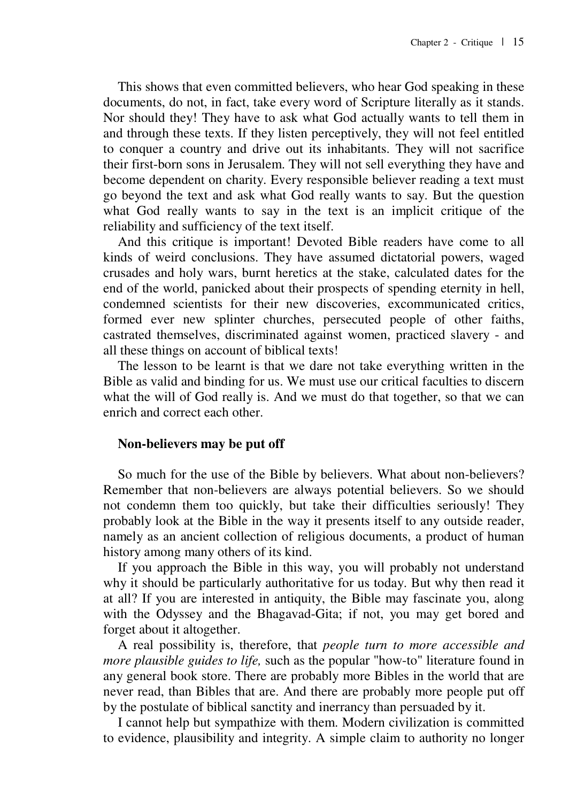This shows that even committed believers, who hear God speaking in these documents, do not, in fact, take every word of Scripture literally as it stands. Nor should they! They have to ask what God actually wants to tell them in and through these texts. If they listen perceptively, they will not feel entitled to conquer a country and drive out its inhabitants. They will not sacrifice their first-born sons in Jerusalem. They will not sell everything they have and become dependent on charity. Every responsible believer reading a text must go beyond the text and ask what God really wants to say. But the question what God really wants to say in the text is an implicit critique of the reliability and sufficiency of the text itself.

And this critique is important! Devoted Bible readers have come to all kinds of weird conclusions. They have assumed dictatorial powers, waged crusades and holy wars, burnt heretics at the stake, calculated dates for the end of the world, panicked about their prospects of spending eternity in hell, condemned scientists for their new discoveries, excommunicated critics, formed ever new splinter churches, persecuted people of other faiths, castrated themselves, discriminated against women, practiced slavery - and all these things on account of biblical texts!

The lesson to be learnt is that we dare not take everything written in the Bible as valid and binding for us. We must use our critical faculties to discern what the will of God really is. And we must do that together, so that we can enrich and correct each other.

### **Non-believers may be put off**

So much for the use of the Bible by believers. What about non-believers? Remember that non-believers are always potential believers. So we should not condemn them too quickly, but take their difficulties seriously! They probably look at the Bible in the way it presents itself to any outside reader, namely as an ancient collection of religious documents, a product of human history among many others of its kind.

If you approach the Bible in this way, you will probably not understand why it should be particularly authoritative for us today. But why then read it at all? If you are interested in antiquity, the Bible may fascinate you, along with the Odyssey and the Bhagavad-Gita; if not, you may get bored and forget about it altogether.

A real possibility is, therefore, that *people turn to more accessible and more plausible guides to life,* such as the popular "how-to" literature found in any general book store. There are probably more Bibles in the world that are never read, than Bibles that are. And there are probably more people put off by the postulate of biblical sanctity and inerrancy than persuaded by it.

I cannot help but sympathize with them. Modern civilization is committed to evidence, plausibility and integrity. A simple claim to authority no longer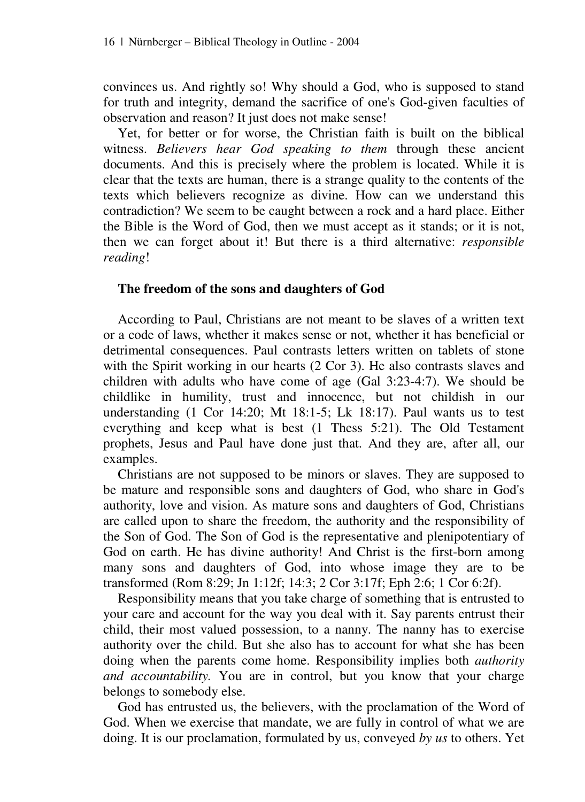convinces us. And rightly so! Why should a God, who is supposed to stand for truth and integrity, demand the sacrifice of one's God-given faculties of observation and reason? It just does not make sense!

Yet, for better or for worse, the Christian faith is built on the biblical witness. *Believers hear God speaking to them* through these ancient documents. And this is precisely where the problem is located. While it is clear that the texts are human, there is a strange quality to the contents of the texts which believers recognize as divine. How can we understand this contradiction? We seem to be caught between a rock and a hard place. Either the Bible is the Word of God, then we must accept as it stands; or it is not, then we can forget about it! But there is a third alternative: *responsible reading*!

### **The freedom of the sons and daughters of God**

According to Paul, Christians are not meant to be slaves of a written text or a code of laws, whether it makes sense or not, whether it has beneficial or detrimental consequences. Paul contrasts letters written on tablets of stone with the Spirit working in our hearts (2 Cor 3). He also contrasts slaves and children with adults who have come of age (Gal 3:23-4:7). We should be childlike in humility, trust and innocence, but not childish in our understanding (1 Cor 14:20; Mt 18:1-5; Lk 18:17). Paul wants us to test everything and keep what is best (1 Thess 5:21). The Old Testament prophets, Jesus and Paul have done just that. And they are, after all, our examples.

Christians are not supposed to be minors or slaves. They are supposed to be mature and responsible sons and daughters of God, who share in God's authority, love and vision. As mature sons and daughters of God, Christians are called upon to share the freedom, the authority and the responsibility of the Son of God. The Son of God is the representative and plenipotentiary of God on earth. He has divine authority! And Christ is the first-born among many sons and daughters of God, into whose image they are to be transformed (Rom 8:29; Jn 1:12f; 14:3; 2 Cor 3:17f; Eph 2:6; 1 Cor 6:2f).

Responsibility means that you take charge of something that is entrusted to your care and account for the way you deal with it. Say parents entrust their child, their most valued possession, to a nanny. The nanny has to exercise authority over the child. But she also has to account for what she has been doing when the parents come home. Responsibility implies both *authority and accountability.* You are in control, but you know that your charge belongs to somebody else.

God has entrusted us, the believers, with the proclamation of the Word of God. When we exercise that mandate, we are fully in control of what we are doing. It is our proclamation, formulated by us, conveyed *by us* to others. Yet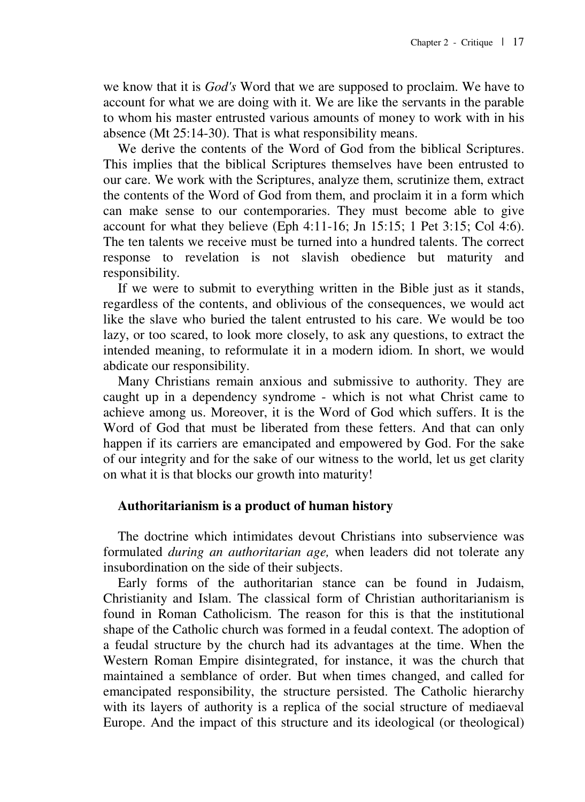we know that it is *God's* Word that we are supposed to proclaim. We have to account for what we are doing with it. We are like the servants in the parable to whom his master entrusted various amounts of money to work with in his absence (Mt 25:14-30). That is what responsibility means.

We derive the contents of the Word of God from the biblical Scriptures. This implies that the biblical Scriptures themselves have been entrusted to our care. We work with the Scriptures, analyze them, scrutinize them, extract the contents of the Word of God from them, and proclaim it in a form which can make sense to our contemporaries. They must become able to give account for what they believe (Eph 4:11-16; Jn 15:15; 1 Pet 3:15; Col 4:6). The ten talents we receive must be turned into a hundred talents. The correct response to revelation is not slavish obedience but maturity and responsibility.

If we were to submit to everything written in the Bible just as it stands, regardless of the contents, and oblivious of the consequences, we would act like the slave who buried the talent entrusted to his care. We would be too lazy, or too scared, to look more closely, to ask any questions, to extract the intended meaning, to reformulate it in a modern idiom. In short, we would abdicate our responsibility.

Many Christians remain anxious and submissive to authority. They are caught up in a dependency syndrome - which is not what Christ came to achieve among us. Moreover, it is the Word of God which suffers. It is the Word of God that must be liberated from these fetters. And that can only happen if its carriers are emancipated and empowered by God. For the sake of our integrity and for the sake of our witness to the world, let us get clarity on what it is that blocks our growth into maturity!

### **Authoritarianism is a product of human history**

The doctrine which intimidates devout Christians into subservience was formulated *during an authoritarian age,* when leaders did not tolerate any insubordination on the side of their subjects.

Early forms of the authoritarian stance can be found in Judaism, Christianity and Islam. The classical form of Christian authoritarianism is found in Roman Catholicism. The reason for this is that the institutional shape of the Catholic church was formed in a feudal context. The adoption of a feudal structure by the church had its advantages at the time. When the Western Roman Empire disintegrated, for instance, it was the church that maintained a semblance of order. But when times changed, and called for emancipated responsibility, the structure persisted. The Catholic hierarchy with its layers of authority is a replica of the social structure of mediaeval Europe. And the impact of this structure and its ideological (or theological)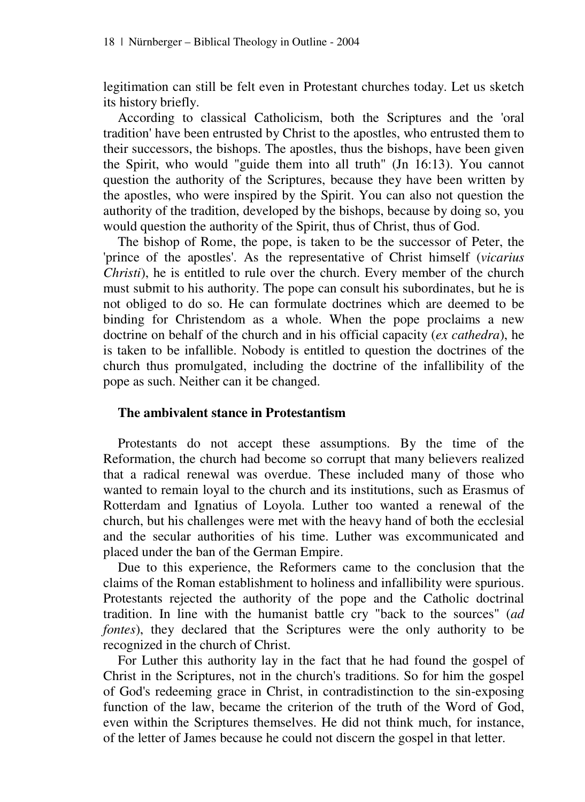legitimation can still be felt even in Protestant churches today. Let us sketch its history briefly.

According to classical Catholicism, both the Scriptures and the 'oral tradition' have been entrusted by Christ to the apostles, who entrusted them to their successors, the bishops. The apostles, thus the bishops, have been given the Spirit, who would "guide them into all truth" (Jn 16:13). You cannot question the authority of the Scriptures, because they have been written by the apostles, who were inspired by the Spirit. You can also not question the authority of the tradition, developed by the bishops, because by doing so, you would question the authority of the Spirit, thus of Christ, thus of God.

The bishop of Rome, the pope, is taken to be the successor of Peter, the 'prince of the apostles'. As the representative of Christ himself (*vicarius Christi*), he is entitled to rule over the church. Every member of the church must submit to his authority. The pope can consult his subordinates, but he is not obliged to do so. He can formulate doctrines which are deemed to be binding for Christendom as a whole. When the pope proclaims a new doctrine on behalf of the church and in his official capacity (*ex cathedra*), he is taken to be infallible. Nobody is entitled to question the doctrines of the church thus promulgated, including the doctrine of the infallibility of the pope as such. Neither can it be changed.

### **The ambivalent stance in Protestantism**

Protestants do not accept these assumptions. By the time of the Reformation, the church had become so corrupt that many believers realized that a radical renewal was overdue. These included many of those who wanted to remain loyal to the church and its institutions, such as Erasmus of Rotterdam and Ignatius of Loyola. Luther too wanted a renewal of the church, but his challenges were met with the heavy hand of both the ecclesial and the secular authorities of his time. Luther was excommunicated and placed under the ban of the German Empire.

Due to this experience, the Reformers came to the conclusion that the claims of the Roman establishment to holiness and infallibility were spurious. Protestants rejected the authority of the pope and the Catholic doctrinal tradition. In line with the humanist battle cry "back to the sources" (*ad fontes*), they declared that the Scriptures were the only authority to be recognized in the church of Christ.

For Luther this authority lay in the fact that he had found the gospel of Christ in the Scriptures, not in the church's traditions. So for him the gospel of God's redeeming grace in Christ, in contradistinction to the sin-exposing function of the law, became the criterion of the truth of the Word of God, even within the Scriptures themselves. He did not think much, for instance, of the letter of James because he could not discern the gospel in that letter.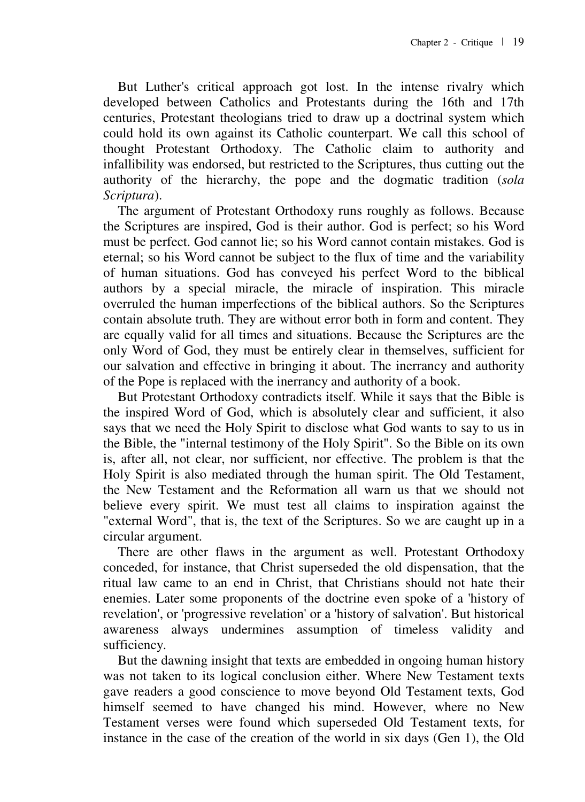But Luther's critical approach got lost. In the intense rivalry which developed between Catholics and Protestants during the 16th and 17th centuries, Protestant theologians tried to draw up a doctrinal system which could hold its own against its Catholic counterpart. We call this school of thought Protestant Orthodoxy. The Catholic claim to authority and infallibility was endorsed, but restricted to the Scriptures, thus cutting out the authority of the hierarchy, the pope and the dogmatic tradition (*sola Scriptura*).

The argument of Protestant Orthodoxy runs roughly as follows. Because the Scriptures are inspired, God is their author. God is perfect; so his Word must be perfect. God cannot lie; so his Word cannot contain mistakes. God is eternal; so his Word cannot be subject to the flux of time and the variability of human situations. God has conveyed his perfect Word to the biblical authors by a special miracle, the miracle of inspiration. This miracle overruled the human imperfections of the biblical authors. So the Scriptures contain absolute truth. They are without error both in form and content. They are equally valid for all times and situations. Because the Scriptures are the only Word of God, they must be entirely clear in themselves, sufficient for our salvation and effective in bringing it about. The inerrancy and authority of the Pope is replaced with the inerrancy and authority of a book.

But Protestant Orthodoxy contradicts itself. While it says that the Bible is the inspired Word of God, which is absolutely clear and sufficient, it also says that we need the Holy Spirit to disclose what God wants to say to us in the Bible, the "internal testimony of the Holy Spirit". So the Bible on its own is, after all, not clear, nor sufficient, nor effective. The problem is that the Holy Spirit is also mediated through the human spirit. The Old Testament, the New Testament and the Reformation all warn us that we should not believe every spirit. We must test all claims to inspiration against the "external Word", that is, the text of the Scriptures. So we are caught up in a circular argument.

There are other flaws in the argument as well. Protestant Orthodoxy conceded, for instance, that Christ superseded the old dispensation, that the ritual law came to an end in Christ, that Christians should not hate their enemies. Later some proponents of the doctrine even spoke of a 'history of revelation', or 'progressive revelation' or a 'history of salvation'. But historical awareness always undermines assumption of timeless validity and sufficiency.

But the dawning insight that texts are embedded in ongoing human history was not taken to its logical conclusion either. Where New Testament texts gave readers a good conscience to move beyond Old Testament texts, God himself seemed to have changed his mind. However, where no New Testament verses were found which superseded Old Testament texts, for instance in the case of the creation of the world in six days (Gen 1), the Old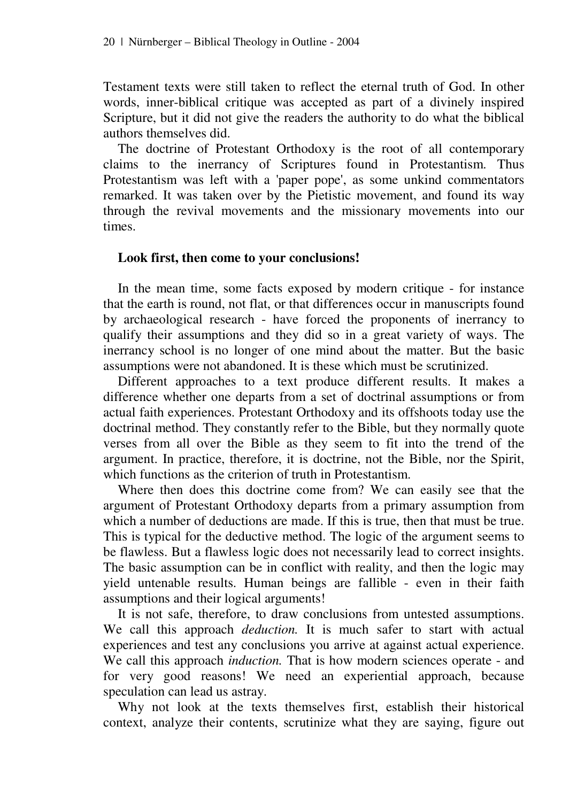Testament texts were still taken to reflect the eternal truth of God. In other words, inner-biblical critique was accepted as part of a divinely inspired Scripture, but it did not give the readers the authority to do what the biblical authors themselves did.

The doctrine of Protestant Orthodoxy is the root of all contemporary claims to the inerrancy of Scriptures found in Protestantism. Thus Protestantism was left with a 'paper pope', as some unkind commentators remarked. It was taken over by the Pietistic movement, and found its way through the revival movements and the missionary movements into our times.

### **Look first, then come to your conclusions!**

In the mean time, some facts exposed by modern critique - for instance that the earth is round, not flat, or that differences occur in manuscripts found by archaeological research - have forced the proponents of inerrancy to qualify their assumptions and they did so in a great variety of ways. The inerrancy school is no longer of one mind about the matter. But the basic assumptions were not abandoned. It is these which must be scrutinized.

Different approaches to a text produce different results. It makes a difference whether one departs from a set of doctrinal assumptions or from actual faith experiences. Protestant Orthodoxy and its offshoots today use the doctrinal method. They constantly refer to the Bible, but they normally quote verses from all over the Bible as they seem to fit into the trend of the argument. In practice, therefore, it is doctrine, not the Bible, nor the Spirit, which functions as the criterion of truth in Protestantism.

Where then does this doctrine come from? We can easily see that the argument of Protestant Orthodoxy departs from a primary assumption from which a number of deductions are made. If this is true, then that must be true. This is typical for the deductive method. The logic of the argument seems to be flawless. But a flawless logic does not necessarily lead to correct insights. The basic assumption can be in conflict with reality, and then the logic may yield untenable results. Human beings are fallible - even in their faith assumptions and their logical arguments!

It is not safe, therefore, to draw conclusions from untested assumptions. We call this approach *deduction.* It is much safer to start with actual experiences and test any conclusions you arrive at against actual experience. We call this approach *induction.* That is how modern sciences operate - and for very good reasons! We need an experiential approach, because speculation can lead us astray.

Why not look at the texts themselves first, establish their historical context, analyze their contents, scrutinize what they are saying, figure out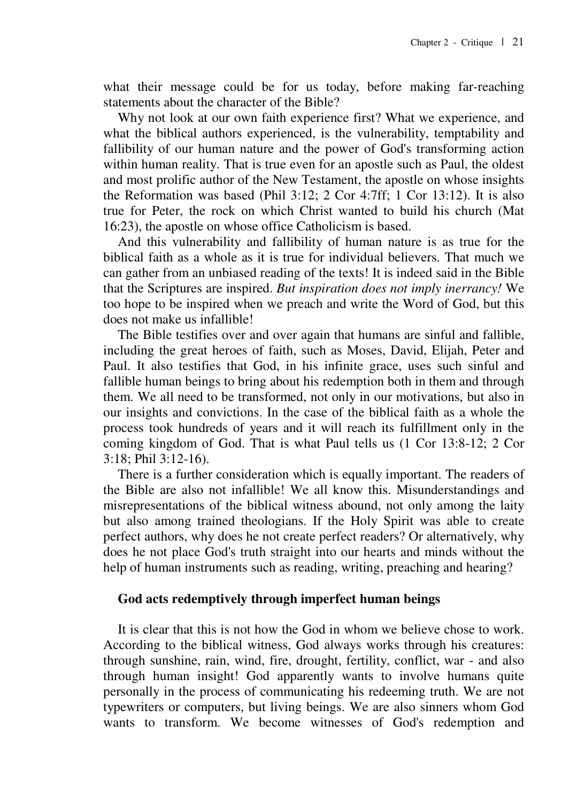what their message could be for us today, before making far-reaching statements about the character of the Bible?

Why not look at our own faith experience first? What we experience, and what the biblical authors experienced, is the vulnerability, temptability and fallibility of our human nature and the power of God's transforming action within human reality. That is true even for an apostle such as Paul, the oldest and most prolific author of the New Testament, the apostle on whose insights the Reformation was based (Phil 3:12; 2 Cor 4:7ff; 1 Cor 13:12). It is also true for Peter, the rock on which Christ wanted to build his church (Mat 16:23), the apostle on whose office Catholicism is based.

And this vulnerability and fallibility of human nature is as true for the biblical faith as a whole as it is true for individual believers. That much we can gather from an unbiased reading of the texts! It is indeed said in the Bible that the Scriptures are inspired. *But inspiration does not imply inerrancy!* We too hope to be inspired when we preach and write the Word of God, but this does not make us infallible!

The Bible testifies over and over again that humans are sinful and fallible, including the great heroes of faith, such as Moses, David, Elijah, Peter and Paul. It also testifies that God, in his infinite grace, uses such sinful and fallible human beings to bring about his redemption both in them and through them. We all need to be transformed, not only in our motivations, but also in our insights and convictions. In the case of the biblical faith as a whole the process took hundreds of years and it will reach its fulfillment only in the coming kingdom of God. That is what Paul tells us (1 Cor 13:8-12; 2 Cor 3:18; Phil 3:12-16).

There is a further consideration which is equally important. The readers of the Bible are also not infallible! We all know this. Misunderstandings and misrepresentations of the biblical witness abound, not only among the laity but also among trained theologians. If the Holy Spirit was able to create perfect authors, why does he not create perfect readers? Or alternatively, why does he not place God's truth straight into our hearts and minds without the help of human instruments such as reading, writing, preaching and hearing?

### **God acts redemptively through imperfect human beings**

It is clear that this is not how the God in whom we believe chose to work. According to the biblical witness, God always works through his creatures: through sunshine, rain, wind, fire, drought, fertility, conflict, war - and also through human insight! God apparently wants to involve humans quite personally in the process of communicating his redeeming truth. We are not typewriters or computers, but living beings. We are also sinners whom God wants to transform. We become witnesses of God's redemption and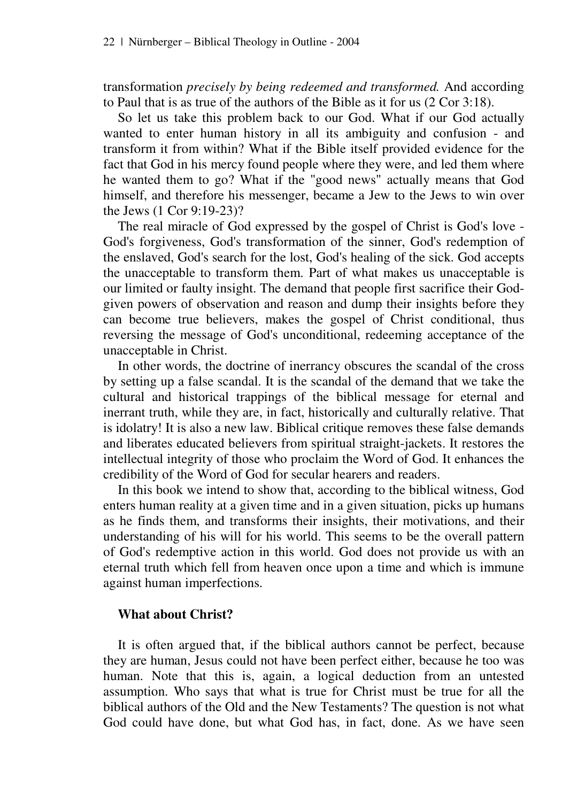transformation *precisely by being redeemed and transformed.* And according to Paul that is as true of the authors of the Bible as it for us (2 Cor 3:18).

So let us take this problem back to our God. What if our God actually wanted to enter human history in all its ambiguity and confusion - and transform it from within? What if the Bible itself provided evidence for the fact that God in his mercy found people where they were, and led them where he wanted them to go? What if the "good news" actually means that God himself, and therefore his messenger, became a Jew to the Jews to win over the Jews (1 Cor 9:19-23)?

The real miracle of God expressed by the gospel of Christ is God's love - God's forgiveness, God's transformation of the sinner, God's redemption of the enslaved, God's search for the lost, God's healing of the sick. God accepts the unacceptable to transform them. Part of what makes us unacceptable is our limited or faulty insight. The demand that people first sacrifice their Godgiven powers of observation and reason and dump their insights before they can become true believers, makes the gospel of Christ conditional, thus reversing the message of God's unconditional, redeeming acceptance of the unacceptable in Christ.

In other words, the doctrine of inerrancy obscures the scandal of the cross by setting up a false scandal. It is the scandal of the demand that we take the cultural and historical trappings of the biblical message for eternal and inerrant truth, while they are, in fact, historically and culturally relative. That is idolatry! It is also a new law. Biblical critique removes these false demands and liberates educated believers from spiritual straight-jackets. It restores the intellectual integrity of those who proclaim the Word of God. It enhances the credibility of the Word of God for secular hearers and readers.

In this book we intend to show that, according to the biblical witness, God enters human reality at a given time and in a given situation, picks up humans as he finds them, and transforms their insights, their motivations, and their understanding of his will for his world. This seems to be the overall pattern of God's redemptive action in this world. God does not provide us with an eternal truth which fell from heaven once upon a time and which is immune against human imperfections.

### **What about Christ?**

It is often argued that, if the biblical authors cannot be perfect, because they are human, Jesus could not have been perfect either, because he too was human. Note that this is, again, a logical deduction from an untested assumption. Who says that what is true for Christ must be true for all the biblical authors of the Old and the New Testaments? The question is not what God could have done, but what God has, in fact, done. As we have seen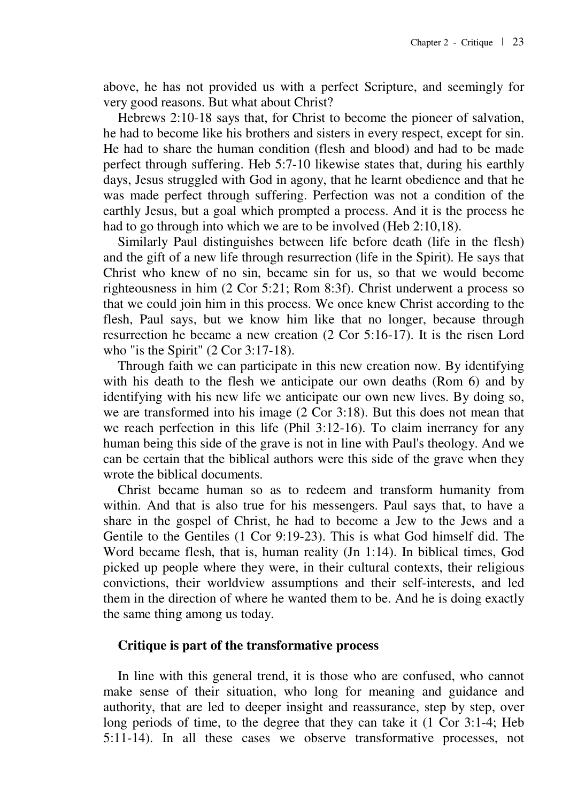above, he has not provided us with a perfect Scripture, and seemingly for very good reasons. But what about Christ?

Hebrews 2:10-18 says that, for Christ to become the pioneer of salvation, he had to become like his brothers and sisters in every respect, except for sin. He had to share the human condition (flesh and blood) and had to be made perfect through suffering. Heb 5:7-10 likewise states that, during his earthly days, Jesus struggled with God in agony, that he learnt obedience and that he was made perfect through suffering. Perfection was not a condition of the earthly Jesus, but a goal which prompted a process. And it is the process he had to go through into which we are to be involved (Heb 2:10,18).

Similarly Paul distinguishes between life before death (life in the flesh) and the gift of a new life through resurrection (life in the Spirit). He says that Christ who knew of no sin, became sin for us, so that we would become righteousness in him (2 Cor 5:21; Rom 8:3f). Christ underwent a process so that we could join him in this process. We once knew Christ according to the flesh, Paul says, but we know him like that no longer, because through resurrection he became a new creation (2 Cor 5:16-17). It is the risen Lord who "is the Spirit" (2 Cor 3:17-18).

Through faith we can participate in this new creation now. By identifying with his death to the flesh we anticipate our own deaths (Rom 6) and by identifying with his new life we anticipate our own new lives. By doing so, we are transformed into his image (2 Cor 3:18). But this does not mean that we reach perfection in this life (Phil 3:12-16). To claim inerrancy for any human being this side of the grave is not in line with Paul's theology. And we can be certain that the biblical authors were this side of the grave when they wrote the biblical documents.

Christ became human so as to redeem and transform humanity from within. And that is also true for his messengers. Paul says that, to have a share in the gospel of Christ, he had to become a Jew to the Jews and a Gentile to the Gentiles (1 Cor 9:19-23). This is what God himself did. The Word became flesh, that is, human reality (Jn 1:14). In biblical times, God picked up people where they were, in their cultural contexts, their religious convictions, their worldview assumptions and their self-interests, and led them in the direction of where he wanted them to be. And he is doing exactly the same thing among us today.

### **Critique is part of the transformative process**

In line with this general trend, it is those who are confused, who cannot make sense of their situation, who long for meaning and guidance and authority, that are led to deeper insight and reassurance, step by step, over long periods of time, to the degree that they can take it (1 Cor 3:1-4; Heb 5:11-14). In all these cases we observe transformative processes, not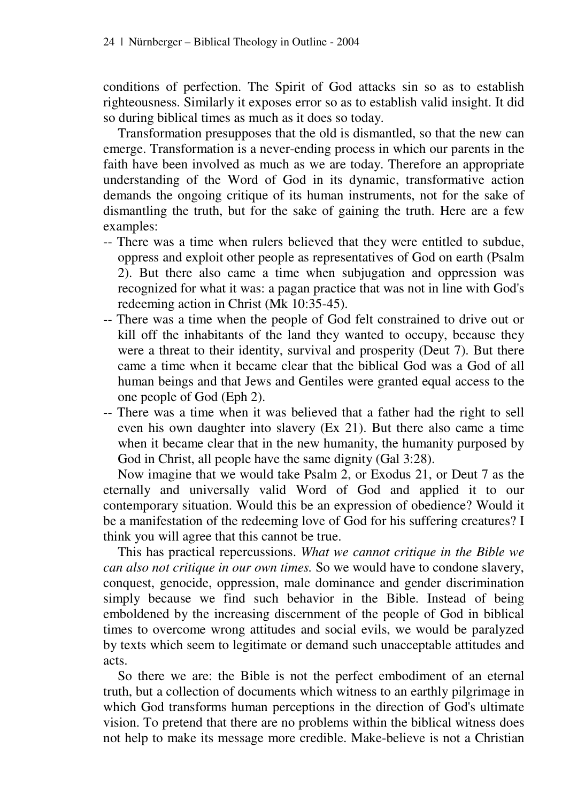conditions of perfection. The Spirit of God attacks sin so as to establish righteousness. Similarly it exposes error so as to establish valid insight. It did so during biblical times as much as it does so today.

Transformation presupposes that the old is dismantled, so that the new can emerge. Transformation is a never-ending process in which our parents in the faith have been involved as much as we are today. Therefore an appropriate understanding of the Word of God in its dynamic, transformative action demands the ongoing critique of its human instruments, not for the sake of dismantling the truth, but for the sake of gaining the truth. Here are a few examples:

- -- There was a time when rulers believed that they were entitled to subdue, oppress and exploit other people as representatives of God on earth (Psalm 2). But there also came a time when subjugation and oppression was recognized for what it was: a pagan practice that was not in line with God's redeeming action in Christ (Mk 10:35-45).
- -- There was a time when the people of God felt constrained to drive out or kill off the inhabitants of the land they wanted to occupy, because they were a threat to their identity, survival and prosperity (Deut 7). But there came a time when it became clear that the biblical God was a God of all human beings and that Jews and Gentiles were granted equal access to the one people of God (Eph 2).
- -- There was a time when it was believed that a father had the right to sell even his own daughter into slavery (Ex 21). But there also came a time when it became clear that in the new humanity, the humanity purposed by God in Christ, all people have the same dignity (Gal 3:28).

Now imagine that we would take Psalm 2, or Exodus 21, or Deut 7 as the eternally and universally valid Word of God and applied it to our contemporary situation. Would this be an expression of obedience? Would it be a manifestation of the redeeming love of God for his suffering creatures? I think you will agree that this cannot be true.

This has practical repercussions. *What we cannot critique in the Bible we can also not critique in our own times.* So we would have to condone slavery, conquest, genocide, oppression, male dominance and gender discrimination simply because we find such behavior in the Bible. Instead of being emboldened by the increasing discernment of the people of God in biblical times to overcome wrong attitudes and social evils, we would be paralyzed by texts which seem to legitimate or demand such unacceptable attitudes and acts.

So there we are: the Bible is not the perfect embodiment of an eternal truth, but a collection of documents which witness to an earthly pilgrimage in which God transforms human perceptions in the direction of God's ultimate vision. To pretend that there are no problems within the biblical witness does not help to make its message more credible. Make-believe is not a Christian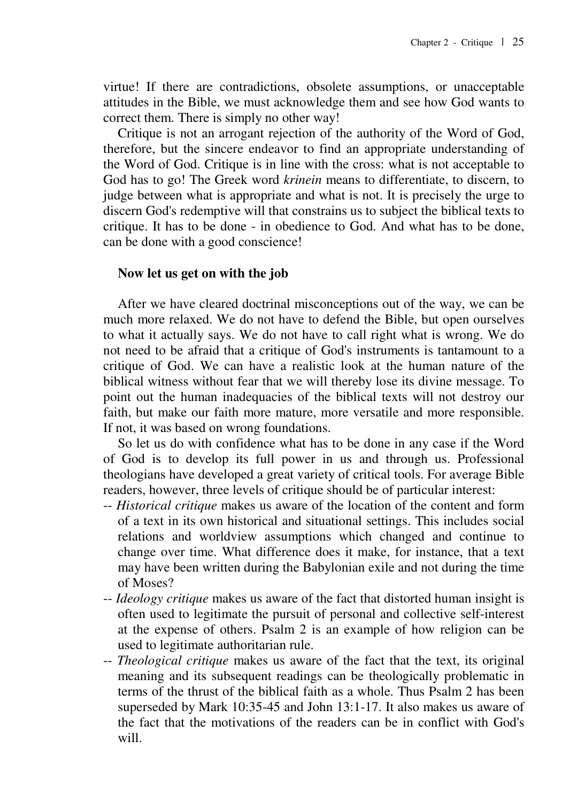virtue! If there are contradictions, obsolete assumptions, or unacceptable attitudes in the Bible, we must acknowledge them and see how God wants to correct them. There is simply no other way!

Critique is not an arrogant rejection of the authority of the Word of God, therefore, but the sincere endeavor to find an appropriate understanding of the Word of God. Critique is in line with the cross: what is not acceptable to God has to go! The Greek word *krinein* means to differentiate, to discern, to judge between what is appropriate and what is not. It is precisely the urge to discern God's redemptive will that constrains us to subject the biblical texts to critique. It has to be done - in obedience to God. And what has to be done, can be done with a good conscience!

### **Now let us get on with the job**

After we have cleared doctrinal misconceptions out of the way, we can be much more relaxed. We do not have to defend the Bible, but open ourselves to what it actually says. We do not have to call right what is wrong. We do not need to be afraid that a critique of God's instruments is tantamount to a critique of God. We can have a realistic look at the human nature of the biblical witness without fear that we will thereby lose its divine message. To point out the human inadequacies of the biblical texts will not destroy our faith, but make our faith more mature, more versatile and more responsible. If not, it was based on wrong foundations.

So let us do with confidence what has to be done in any case if the Word of God is to develop its full power in us and through us. Professional theologians have developed a great variety of critical tools. For average Bible readers, however, three levels of critique should be of particular interest:

- -- *Historical critique* makes us aware of the location of the content and form of a text in its own historical and situational settings. This includes social relations and worldview assumptions which changed and continue to change over time. What difference does it make, for instance, that a text may have been written during the Babylonian exile and not during the time of Moses?
- -- *Ideology critique* makes us aware of the fact that distorted human insight is often used to legitimate the pursuit of personal and collective self-interest at the expense of others. Psalm 2 is an example of how religion can be used to legitimate authoritarian rule.
- -- *Theological critique* makes us aware of the fact that the text, its original meaning and its subsequent readings can be theologically problematic in terms of the thrust of the biblical faith as a whole. Thus Psalm 2 has been superseded by Mark 10:35-45 and John 13:1-17. It also makes us aware of the fact that the motivations of the readers can be in conflict with God's will.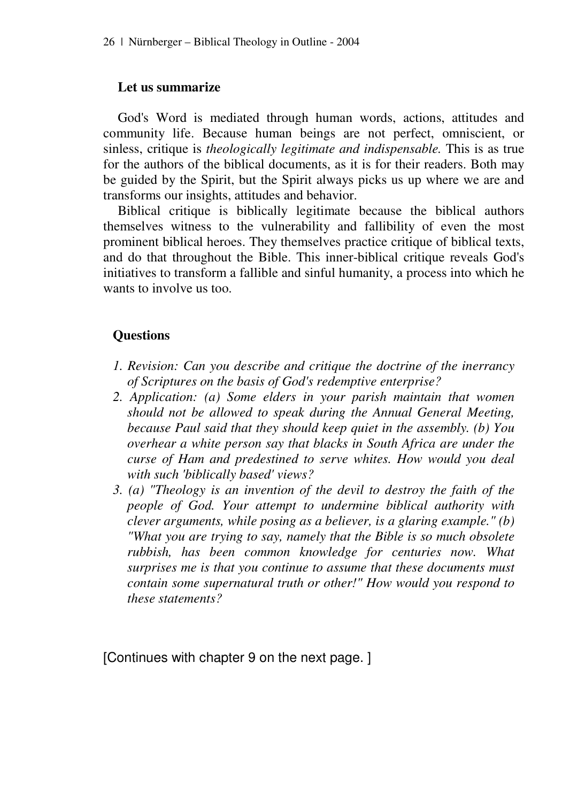### **Let us summarize**

God's Word is mediated through human words, actions, attitudes and community life. Because human beings are not perfect, omniscient, or sinless, critique is *theologically legitimate and indispensable.* This is as true for the authors of the biblical documents, as it is for their readers. Both may be guided by the Spirit, but the Spirit always picks us up where we are and transforms our insights, attitudes and behavior.

Biblical critique is biblically legitimate because the biblical authors themselves witness to the vulnerability and fallibility of even the most prominent biblical heroes. They themselves practice critique of biblical texts, and do that throughout the Bible. This inner-biblical critique reveals God's initiatives to transform a fallible and sinful humanity, a process into which he wants to involve us too.

### **Questions**

- *1. Revision: Can you describe and critique the doctrine of the inerrancy of Scriptures on the basis of God's redemptive enterprise?*
- *2. Application: (a) Some elders in your parish maintain that women should not be allowed to speak during the Annual General Meeting, because Paul said that they should keep quiet in the assembly. (b) You overhear a white person say that blacks in South Africa are under the curse of Ham and predestined to serve whites. How would you deal with such 'biblically based' views?*
- *3. (a) "Theology is an invention of the devil to destroy the faith of the people of God. Your attempt to undermine biblical authority with clever arguments, while posing as a believer, is a glaring example." (b) "What you are trying to say, namely that the Bible is so much obsolete rubbish, has been common knowledge for centuries now. What surprises me is that you continue to assume that these documents must contain some supernatural truth or other!" How would you respond to these statements?*

[Continues with chapter 9 on the next page. ]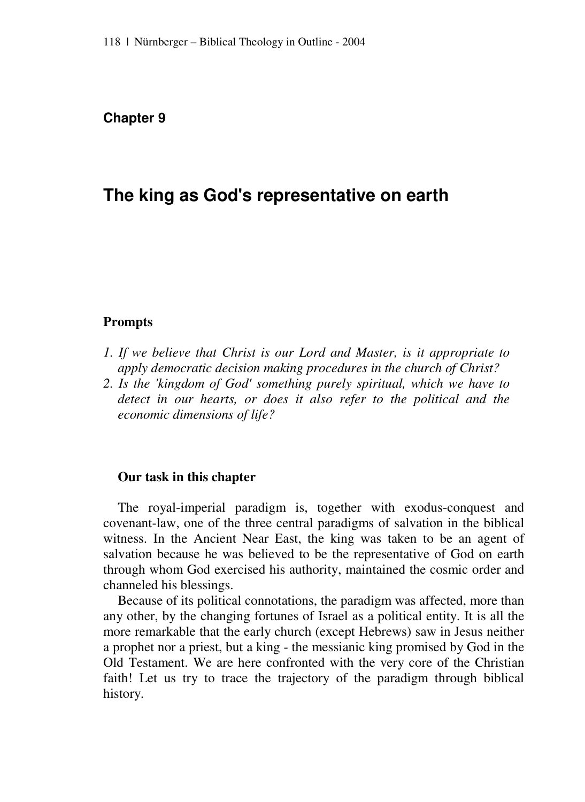## **Chapter 9**

# **The king as God's representative on earth**

#### **Prompts**

- *1. If we believe that Christ is our Lord and Master, is it appropriate to apply democratic decision making procedures in the church of Christ?*
- *2. Is the 'kingdom of God' something purely spiritual, which we have to detect in our hearts, or does it also refer to the political and the economic dimensions of life?*

#### **Our task in this chapter**

The royal-imperial paradigm is, together with exodus-conquest and covenant-law, one of the three central paradigms of salvation in the biblical witness. In the Ancient Near East, the king was taken to be an agent of salvation because he was believed to be the representative of God on earth through whom God exercised his authority, maintained the cosmic order and channeled his blessings.

Because of its political connotations, the paradigm was affected, more than any other, by the changing fortunes of Israel as a political entity. It is all the more remarkable that the early church (except Hebrews) saw in Jesus neither a prophet nor a priest, but a king - the messianic king promised by God in the Old Testament. We are here confronted with the very core of the Christian faith! Let us try to trace the trajectory of the paradigm through biblical history.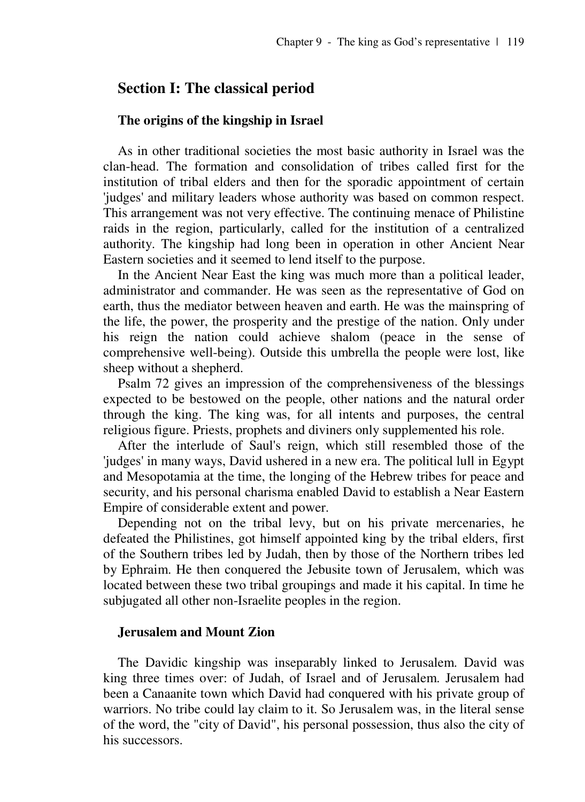# **Section I: The classical period**

### **The origins of the kingship in Israel**

As in other traditional societies the most basic authority in Israel was the clan-head. The formation and consolidation of tribes called first for the institution of tribal elders and then for the sporadic appointment of certain 'judges' and military leaders whose authority was based on common respect. This arrangement was not very effective. The continuing menace of Philistine raids in the region, particularly, called for the institution of a centralized authority. The kingship had long been in operation in other Ancient Near Eastern societies and it seemed to lend itself to the purpose.

In the Ancient Near East the king was much more than a political leader, administrator and commander. He was seen as the representative of God on earth, thus the mediator between heaven and earth. He was the mainspring of the life, the power, the prosperity and the prestige of the nation. Only under his reign the nation could achieve shalom (peace in the sense of comprehensive well-being). Outside this umbrella the people were lost, like sheep without a shepherd.

Psalm 72 gives an impression of the comprehensiveness of the blessings expected to be bestowed on the people, other nations and the natural order through the king. The king was, for all intents and purposes, the central religious figure. Priests, prophets and diviners only supplemented his role.

After the interlude of Saul's reign, which still resembled those of the 'judges' in many ways, David ushered in a new era. The political lull in Egypt and Mesopotamia at the time, the longing of the Hebrew tribes for peace and security, and his personal charisma enabled David to establish a Near Eastern Empire of considerable extent and power.

Depending not on the tribal levy, but on his private mercenaries, he defeated the Philistines, got himself appointed king by the tribal elders, first of the Southern tribes led by Judah, then by those of the Northern tribes led by Ephraim. He then conquered the Jebusite town of Jerusalem, which was located between these two tribal groupings and made it his capital. In time he subjugated all other non-Israelite peoples in the region.

### **Jerusalem and Mount Zion**

The Davidic kingship was inseparably linked to Jerusalem. David was king three times over: of Judah, of Israel and of Jerusalem. Jerusalem had been a Canaanite town which David had conquered with his private group of warriors. No tribe could lay claim to it. So Jerusalem was, in the literal sense of the word, the "city of David", his personal possession, thus also the city of his successors.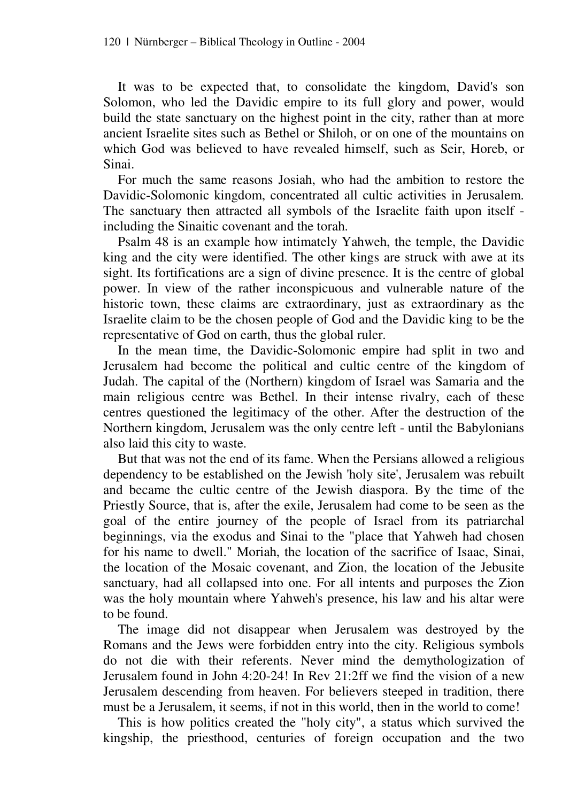It was to be expected that, to consolidate the kingdom, David's son Solomon, who led the Davidic empire to its full glory and power, would build the state sanctuary on the highest point in the city, rather than at more ancient Israelite sites such as Bethel or Shiloh, or on one of the mountains on which God was believed to have revealed himself, such as Seir, Horeb, or Sinai.

For much the same reasons Josiah, who had the ambition to restore the Davidic-Solomonic kingdom, concentrated all cultic activities in Jerusalem. The sanctuary then attracted all symbols of the Israelite faith upon itself including the Sinaitic covenant and the torah.

Psalm 48 is an example how intimately Yahweh, the temple, the Davidic king and the city were identified. The other kings are struck with awe at its sight. Its fortifications are a sign of divine presence. It is the centre of global power. In view of the rather inconspicuous and vulnerable nature of the historic town, these claims are extraordinary, just as extraordinary as the Israelite claim to be the chosen people of God and the Davidic king to be the representative of God on earth, thus the global ruler.

In the mean time, the Davidic-Solomonic empire had split in two and Jerusalem had become the political and cultic centre of the kingdom of Judah. The capital of the (Northern) kingdom of Israel was Samaria and the main religious centre was Bethel. In their intense rivalry, each of these centres questioned the legitimacy of the other. After the destruction of the Northern kingdom, Jerusalem was the only centre left - until the Babylonians also laid this city to waste.

But that was not the end of its fame. When the Persians allowed a religious dependency to be established on the Jewish 'holy site', Jerusalem was rebuilt and became the cultic centre of the Jewish diaspora. By the time of the Priestly Source, that is, after the exile, Jerusalem had come to be seen as the goal of the entire journey of the people of Israel from its patriarchal beginnings, via the exodus and Sinai to the "place that Yahweh had chosen for his name to dwell." Moriah, the location of the sacrifice of Isaac, Sinai, the location of the Mosaic covenant, and Zion, the location of the Jebusite sanctuary, had all collapsed into one. For all intents and purposes the Zion was the holy mountain where Yahweh's presence, his law and his altar were to be found.

The image did not disappear when Jerusalem was destroyed by the Romans and the Jews were forbidden entry into the city. Religious symbols do not die with their referents. Never mind the demythologization of Jerusalem found in John 4:20-24! In Rev 21:2ff we find the vision of a new Jerusalem descending from heaven. For believers steeped in tradition, there must be a Jerusalem, it seems, if not in this world, then in the world to come!

This is how politics created the "holy city", a status which survived the kingship, the priesthood, centuries of foreign occupation and the two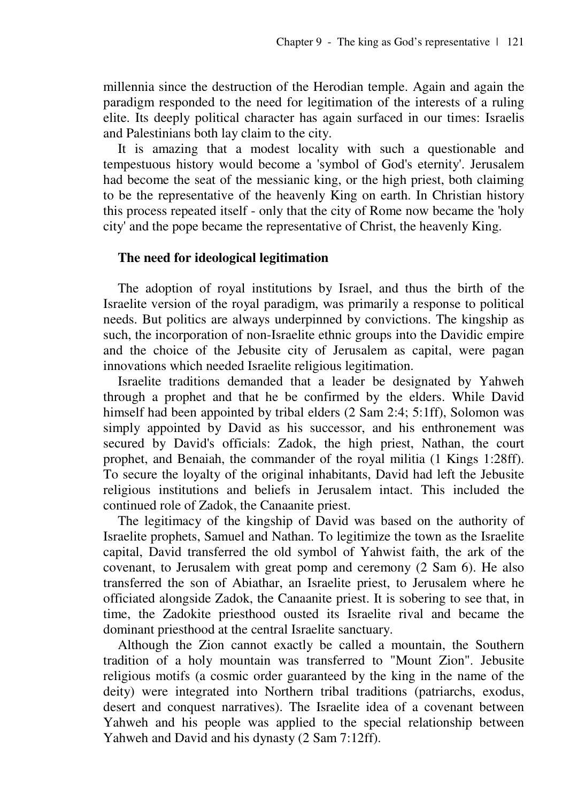millennia since the destruction of the Herodian temple. Again and again the paradigm responded to the need for legitimation of the interests of a ruling elite. Its deeply political character has again surfaced in our times: Israelis and Palestinians both lay claim to the city.

It is amazing that a modest locality with such a questionable and tempestuous history would become a 'symbol of God's eternity'. Jerusalem had become the seat of the messianic king, or the high priest, both claiming to be the representative of the heavenly King on earth. In Christian history this process repeated itself - only that the city of Rome now became the 'holy city' and the pope became the representative of Christ, the heavenly King.

### **The need for ideological legitimation**

The adoption of royal institutions by Israel, and thus the birth of the Israelite version of the royal paradigm, was primarily a response to political needs. But politics are always underpinned by convictions. The kingship as such, the incorporation of non-Israelite ethnic groups into the Davidic empire and the choice of the Jebusite city of Jerusalem as capital, were pagan innovations which needed Israelite religious legitimation.

Israelite traditions demanded that a leader be designated by Yahweh through a prophet and that he be confirmed by the elders. While David himself had been appointed by tribal elders (2 Sam 2:4; 5:1ff), Solomon was simply appointed by David as his successor, and his enthronement was secured by David's officials: Zadok, the high priest, Nathan, the court prophet, and Benaiah, the commander of the royal militia (1 Kings 1:28ff). To secure the loyalty of the original inhabitants, David had left the Jebusite religious institutions and beliefs in Jerusalem intact. This included the continued role of Zadok, the Canaanite priest.

The legitimacy of the kingship of David was based on the authority of Israelite prophets, Samuel and Nathan. To legitimize the town as the Israelite capital, David transferred the old symbol of Yahwist faith, the ark of the covenant, to Jerusalem with great pomp and ceremony (2 Sam 6). He also transferred the son of Abiathar, an Israelite priest, to Jerusalem where he officiated alongside Zadok, the Canaanite priest. It is sobering to see that, in time, the Zadokite priesthood ousted its Israelite rival and became the dominant priesthood at the central Israelite sanctuary.

Although the Zion cannot exactly be called a mountain, the Southern tradition of a holy mountain was transferred to "Mount Zion". Jebusite religious motifs (a cosmic order guaranteed by the king in the name of the deity) were integrated into Northern tribal traditions (patriarchs, exodus, desert and conquest narratives). The Israelite idea of a covenant between Yahweh and his people was applied to the special relationship between Yahweh and David and his dynasty (2 Sam 7:12ff).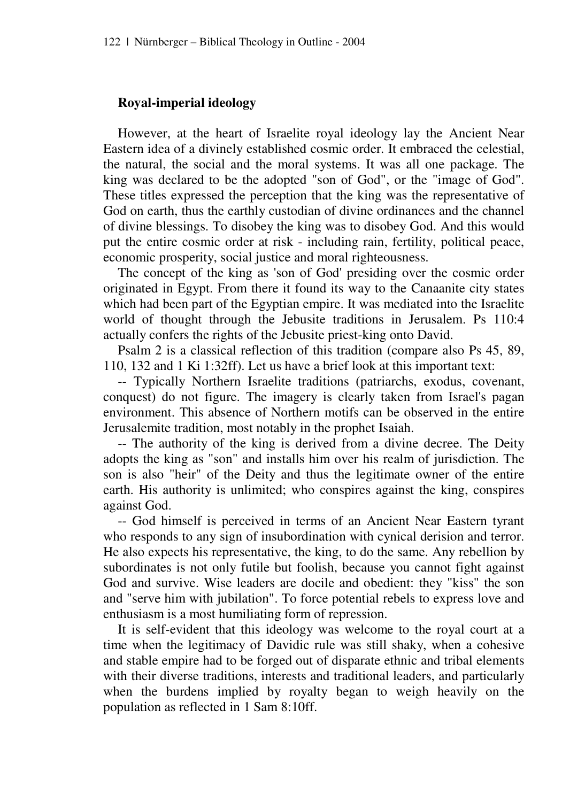### **Royal-imperial ideology**

However, at the heart of Israelite royal ideology lay the Ancient Near Eastern idea of a divinely established cosmic order. It embraced the celestial, the natural, the social and the moral systems. It was all one package. The king was declared to be the adopted "son of God", or the "image of God". These titles expressed the perception that the king was the representative of God on earth, thus the earthly custodian of divine ordinances and the channel of divine blessings. To disobey the king was to disobey God. And this would put the entire cosmic order at risk - including rain, fertility, political peace, economic prosperity, social justice and moral righteousness.

The concept of the king as 'son of God' presiding over the cosmic order originated in Egypt. From there it found its way to the Canaanite city states which had been part of the Egyptian empire. It was mediated into the Israelite world of thought through the Jebusite traditions in Jerusalem. Ps 110:4 actually confers the rights of the Jebusite priest-king onto David.

Psalm 2 is a classical reflection of this tradition (compare also Ps 45, 89, 110, 132 and 1 Ki 1:32ff). Let us have a brief look at this important text:

-- Typically Northern Israelite traditions (patriarchs, exodus, covenant, conquest) do not figure. The imagery is clearly taken from Israel's pagan environment. This absence of Northern motifs can be observed in the entire Jerusalemite tradition, most notably in the prophet Isaiah.

-- The authority of the king is derived from a divine decree. The Deity adopts the king as "son" and installs him over his realm of jurisdiction. The son is also "heir" of the Deity and thus the legitimate owner of the entire earth. His authority is unlimited; who conspires against the king, conspires against God.

-- God himself is perceived in terms of an Ancient Near Eastern tyrant who responds to any sign of insubordination with cynical derision and terror. He also expects his representative, the king, to do the same. Any rebellion by subordinates is not only futile but foolish, because you cannot fight against God and survive. Wise leaders are docile and obedient: they "kiss" the son and "serve him with jubilation". To force potential rebels to express love and enthusiasm is a most humiliating form of repression.

It is self-evident that this ideology was welcome to the royal court at a time when the legitimacy of Davidic rule was still shaky, when a cohesive and stable empire had to be forged out of disparate ethnic and tribal elements with their diverse traditions, interests and traditional leaders, and particularly when the burdens implied by royalty began to weigh heavily on the population as reflected in 1 Sam 8:10ff.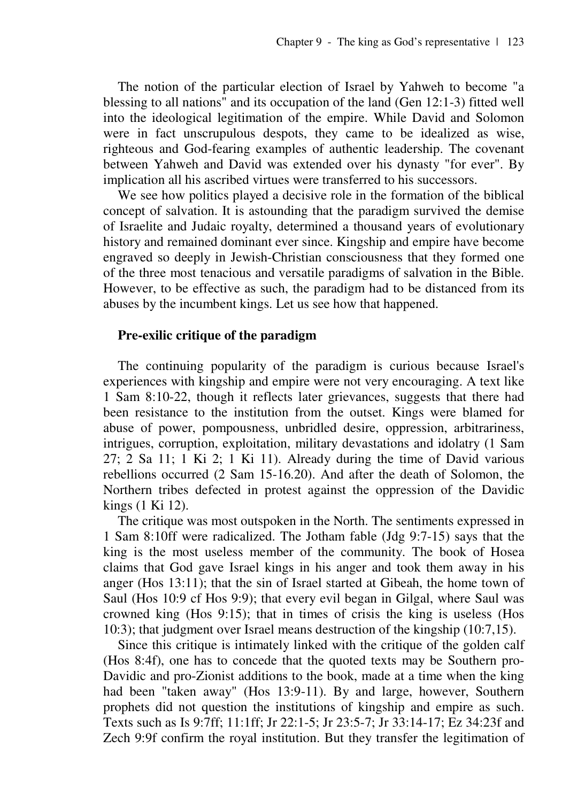The notion of the particular election of Israel by Yahweh to become "a blessing to all nations" and its occupation of the land (Gen 12:1-3) fitted well into the ideological legitimation of the empire. While David and Solomon were in fact unscrupulous despots, they came to be idealized as wise, righteous and God-fearing examples of authentic leadership. The covenant between Yahweh and David was extended over his dynasty "for ever". By implication all his ascribed virtues were transferred to his successors.

We see how politics played a decisive role in the formation of the biblical concept of salvation. It is astounding that the paradigm survived the demise of Israelite and Judaic royalty, determined a thousand years of evolutionary history and remained dominant ever since. Kingship and empire have become engraved so deeply in Jewish-Christian consciousness that they formed one of the three most tenacious and versatile paradigms of salvation in the Bible. However, to be effective as such, the paradigm had to be distanced from its abuses by the incumbent kings. Let us see how that happened.

#### **Pre-exilic critique of the paradigm**

The continuing popularity of the paradigm is curious because Israel's experiences with kingship and empire were not very encouraging. A text like 1 Sam 8:10-22, though it reflects later grievances, suggests that there had been resistance to the institution from the outset. Kings were blamed for abuse of power, pompousness, unbridled desire, oppression, arbitrariness, intrigues, corruption, exploitation, military devastations and idolatry (1 Sam 27; 2 Sa 11; 1 Ki 2; 1 Ki 11). Already during the time of David various rebellions occurred (2 Sam 15-16.20). And after the death of Solomon, the Northern tribes defected in protest against the oppression of the Davidic kings (1 Ki 12).

The critique was most outspoken in the North. The sentiments expressed in 1 Sam 8:10ff were radicalized. The Jotham fable (Jdg 9:7-15) says that the king is the most useless member of the community. The book of Hosea claims that God gave Israel kings in his anger and took them away in his anger (Hos 13:11); that the sin of Israel started at Gibeah, the home town of Saul (Hos 10:9 cf Hos 9:9); that every evil began in Gilgal, where Saul was crowned king (Hos 9:15); that in times of crisis the king is useless (Hos 10:3); that judgment over Israel means destruction of the kingship (10:7,15).

Since this critique is intimately linked with the critique of the golden calf (Hos 8:4f), one has to concede that the quoted texts may be Southern pro-Davidic and pro-Zionist additions to the book, made at a time when the king had been "taken away" (Hos 13:9-11). By and large, however, Southern prophets did not question the institutions of kingship and empire as such. Texts such as Is 9:7ff; 11:1ff; Jr 22:1-5; Jr 23:5-7; Jr 33:14-17; Ez 34:23f and Zech 9:9f confirm the royal institution. But they transfer the legitimation of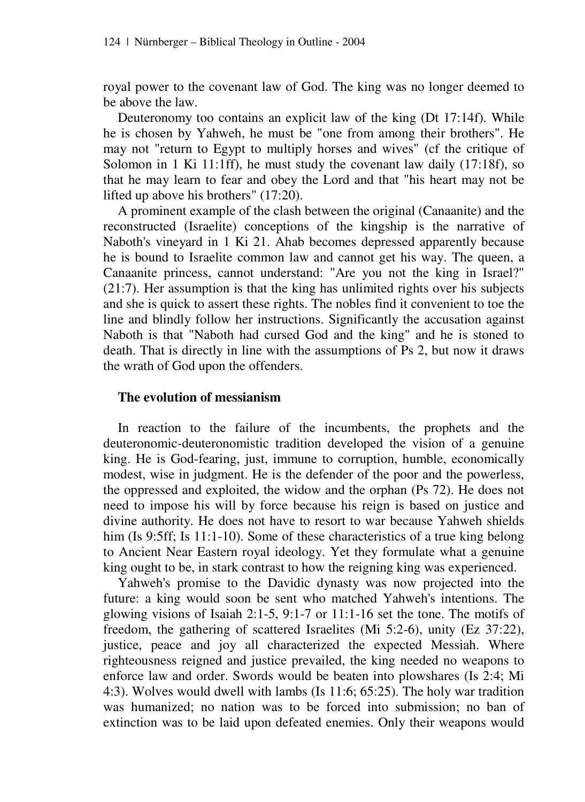royal power to the covenant law of God. The king was no longer deemed to be above the law.

Deuteronomy too contains an explicit law of the king (Dt 17:14f). While he is chosen by Yahweh, he must be "one from among their brothers". He may not "return to Egypt to multiply horses and wives" (cf the critique of Solomon in 1 Ki 11:1ff), he must study the covenant law daily (17:18f), so that he may learn to fear and obey the Lord and that "his heart may not be lifted up above his brothers" (17:20).

A prominent example of the clash between the original (Canaanite) and the reconstructed (Israelite) conceptions of the kingship is the narrative of Naboth's vineyard in 1 Ki 21. Ahab becomes depressed apparently because he is bound to Israelite common law and cannot get his way. The queen, a Canaanite princess, cannot understand: "Are you not the king in Israel?" (21:7). Her assumption is that the king has unlimited rights over his subjects and she is quick to assert these rights. The nobles find it convenient to toe the line and blindly follow her instructions. Significantly the accusation against Naboth is that "Naboth had cursed God and the king" and he is stoned to death. That is directly in line with the assumptions of Ps 2, but now it draws the wrath of God upon the offenders.

### **The evolution of messianism**

In reaction to the failure of the incumbents, the prophets and the deuteronomic-deuteronomistic tradition developed the vision of a genuine king. He is God-fearing, just, immune to corruption, humble, economically modest, wise in judgment. He is the defender of the poor and the powerless, the oppressed and exploited, the widow and the orphan (Ps 72). He does not need to impose his will by force because his reign is based on justice and divine authority. He does not have to resort to war because Yahweh shields him (Is 9:5ff; Is 11:1-10). Some of these characteristics of a true king belong to Ancient Near Eastern royal ideology. Yet they formulate what a genuine king ought to be, in stark contrast to how the reigning king was experienced.

Yahweh's promise to the Davidic dynasty was now projected into the future: a king would soon be sent who matched Yahweh's intentions. The glowing visions of Isaiah 2:1-5, 9:1-7 or 11:1-16 set the tone. The motifs of freedom, the gathering of scattered Israelites (Mi 5:2-6), unity (Ez 37:22), justice, peace and joy all characterized the expected Messiah. Where righteousness reigned and justice prevailed, the king needed no weapons to enforce law and order. Swords would be beaten into plowshares (Is 2:4; Mi 4:3). Wolves would dwell with lambs (Is 11:6; 65:25). The holy war tradition was humanized; no nation was to be forced into submission; no ban of extinction was to be laid upon defeated enemies. Only their weapons would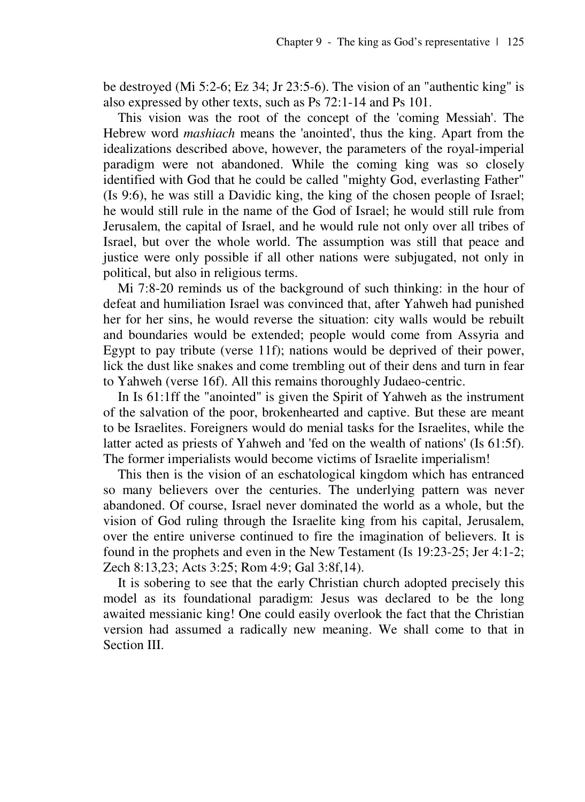be destroyed (Mi 5:2-6; Ez 34; Jr 23:5-6). The vision of an "authentic king" is also expressed by other texts, such as Ps 72:1-14 and Ps 101.

This vision was the root of the concept of the 'coming Messiah'. The Hebrew word *mashiach* means the 'anointed', thus the king. Apart from the idealizations described above, however, the parameters of the royal-imperial paradigm were not abandoned. While the coming king was so closely identified with God that he could be called "mighty God, everlasting Father" (Is 9:6), he was still a Davidic king, the king of the chosen people of Israel; he would still rule in the name of the God of Israel; he would still rule from Jerusalem, the capital of Israel, and he would rule not only over all tribes of Israel, but over the whole world. The assumption was still that peace and justice were only possible if all other nations were subjugated, not only in political, but also in religious terms.

Mi 7:8-20 reminds us of the background of such thinking: in the hour of defeat and humiliation Israel was convinced that, after Yahweh had punished her for her sins, he would reverse the situation: city walls would be rebuilt and boundaries would be extended; people would come from Assyria and Egypt to pay tribute (verse 11f); nations would be deprived of their power, lick the dust like snakes and come trembling out of their dens and turn in fear to Yahweh (verse 16f). All this remains thoroughly Judaeo-centric.

In Is 61:1ff the "anointed" is given the Spirit of Yahweh as the instrument of the salvation of the poor, brokenhearted and captive. But these are meant to be Israelites. Foreigners would do menial tasks for the Israelites, while the latter acted as priests of Yahweh and 'fed on the wealth of nations' (Is 61:5f). The former imperialists would become victims of Israelite imperialism!

This then is the vision of an eschatological kingdom which has entranced so many believers over the centuries. The underlying pattern was never abandoned. Of course, Israel never dominated the world as a whole, but the vision of God ruling through the Israelite king from his capital, Jerusalem, over the entire universe continued to fire the imagination of believers. It is found in the prophets and even in the New Testament (Is 19:23-25; Jer 4:1-2; Zech 8:13,23; Acts 3:25; Rom 4:9; Gal 3:8f,14).

It is sobering to see that the early Christian church adopted precisely this model as its foundational paradigm: Jesus was declared to be the long awaited messianic king! One could easily overlook the fact that the Christian version had assumed a radically new meaning. We shall come to that in Section III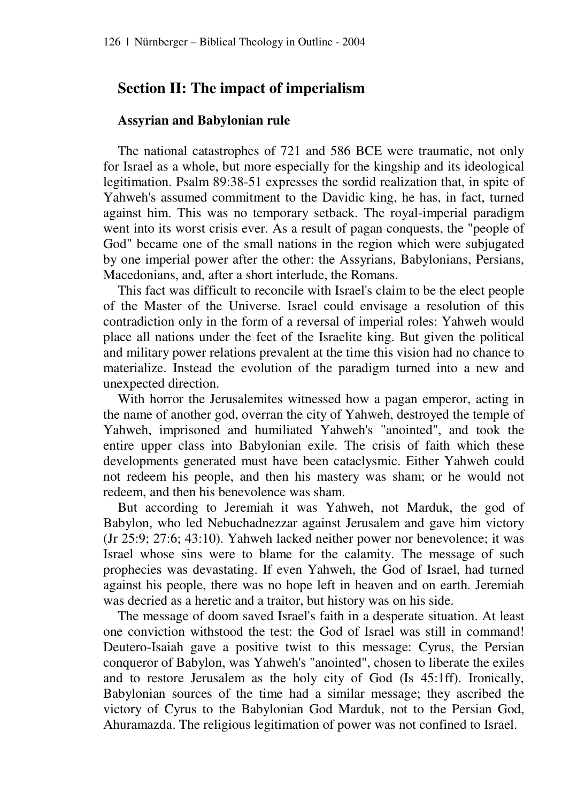# **Section II: The impact of imperialism**

### **Assyrian and Babylonian rule**

The national catastrophes of 721 and 586 BCE were traumatic, not only for Israel as a whole, but more especially for the kingship and its ideological legitimation. Psalm 89:38-51 expresses the sordid realization that, in spite of Yahweh's assumed commitment to the Davidic king, he has, in fact, turned against him. This was no temporary setback. The royal-imperial paradigm went into its worst crisis ever. As a result of pagan conquests, the "people of God" became one of the small nations in the region which were subjugated by one imperial power after the other: the Assyrians, Babylonians, Persians, Macedonians, and, after a short interlude, the Romans.

This fact was difficult to reconcile with Israel's claim to be the elect people of the Master of the Universe. Israel could envisage a resolution of this contradiction only in the form of a reversal of imperial roles: Yahweh would place all nations under the feet of the Israelite king. But given the political and military power relations prevalent at the time this vision had no chance to materialize. Instead the evolution of the paradigm turned into a new and unexpected direction.

With horror the Jerusalemites witnessed how a pagan emperor, acting in the name of another god, overran the city of Yahweh, destroyed the temple of Yahweh, imprisoned and humiliated Yahweh's "anointed", and took the entire upper class into Babylonian exile. The crisis of faith which these developments generated must have been cataclysmic. Either Yahweh could not redeem his people, and then his mastery was sham; or he would not redeem, and then his benevolence was sham.

But according to Jeremiah it was Yahweh, not Marduk, the god of Babylon, who led Nebuchadnezzar against Jerusalem and gave him victory (Jr 25:9; 27:6; 43:10). Yahweh lacked neither power nor benevolence; it was Israel whose sins were to blame for the calamity. The message of such prophecies was devastating. If even Yahweh, the God of Israel, had turned against his people, there was no hope left in heaven and on earth. Jeremiah was decried as a heretic and a traitor, but history was on his side.

The message of doom saved Israel's faith in a desperate situation. At least one conviction withstood the test: the God of Israel was still in command! Deutero-Isaiah gave a positive twist to this message: Cyrus, the Persian conqueror of Babylon, was Yahweh's "anointed", chosen to liberate the exiles and to restore Jerusalem as the holy city of God (Is 45:1ff). Ironically, Babylonian sources of the time had a similar message; they ascribed the victory of Cyrus to the Babylonian God Marduk, not to the Persian God, Ahuramazda. The religious legitimation of power was not confined to Israel.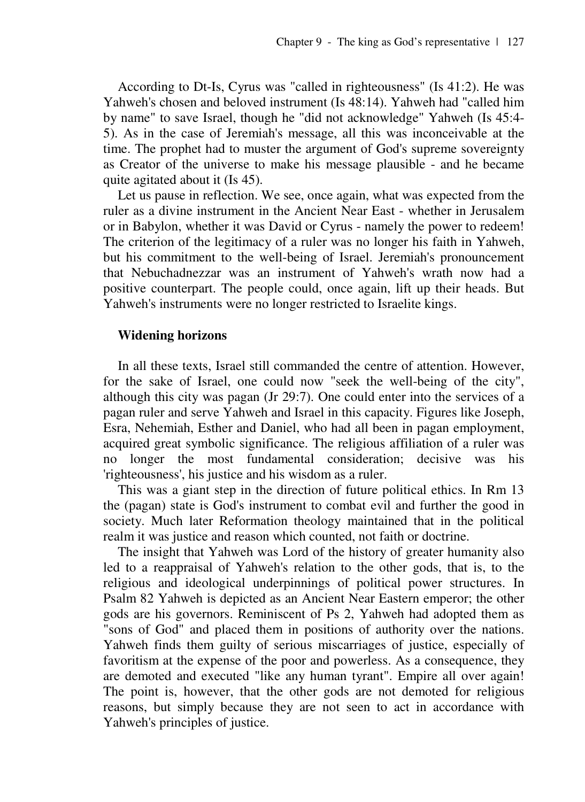According to Dt-Is, Cyrus was "called in righteousness" (Is 41:2). He was Yahweh's chosen and beloved instrument (Is 48:14). Yahweh had "called him by name" to save Israel, though he "did not acknowledge" Yahweh (Is 45:4- 5). As in the case of Jeremiah's message, all this was inconceivable at the time. The prophet had to muster the argument of God's supreme sovereignty as Creator of the universe to make his message plausible - and he became quite agitated about it (Is 45).

Let us pause in reflection. We see, once again, what was expected from the ruler as a divine instrument in the Ancient Near East - whether in Jerusalem or in Babylon, whether it was David or Cyrus - namely the power to redeem! The criterion of the legitimacy of a ruler was no longer his faith in Yahweh, but his commitment to the well-being of Israel. Jeremiah's pronouncement that Nebuchadnezzar was an instrument of Yahweh's wrath now had a positive counterpart. The people could, once again, lift up their heads. But Yahweh's instruments were no longer restricted to Israelite kings.

#### **Widening horizons**

In all these texts, Israel still commanded the centre of attention. However, for the sake of Israel, one could now "seek the well-being of the city", although this city was pagan (Jr 29:7). One could enter into the services of a pagan ruler and serve Yahweh and Israel in this capacity. Figures like Joseph, Esra, Nehemiah, Esther and Daniel, who had all been in pagan employment, acquired great symbolic significance. The religious affiliation of a ruler was no longer the most fundamental consideration; decisive was his 'righteousness', his justice and his wisdom as a ruler.

This was a giant step in the direction of future political ethics. In Rm 13 the (pagan) state is God's instrument to combat evil and further the good in society. Much later Reformation theology maintained that in the political realm it was justice and reason which counted, not faith or doctrine.

The insight that Yahweh was Lord of the history of greater humanity also led to a reappraisal of Yahweh's relation to the other gods, that is, to the religious and ideological underpinnings of political power structures. In Psalm 82 Yahweh is depicted as an Ancient Near Eastern emperor; the other gods are his governors. Reminiscent of Ps 2, Yahweh had adopted them as "sons of God" and placed them in positions of authority over the nations. Yahweh finds them guilty of serious miscarriages of justice, especially of favoritism at the expense of the poor and powerless. As a consequence, they are demoted and executed "like any human tyrant". Empire all over again! The point is, however, that the other gods are not demoted for religious reasons, but simply because they are not seen to act in accordance with Yahweh's principles of justice.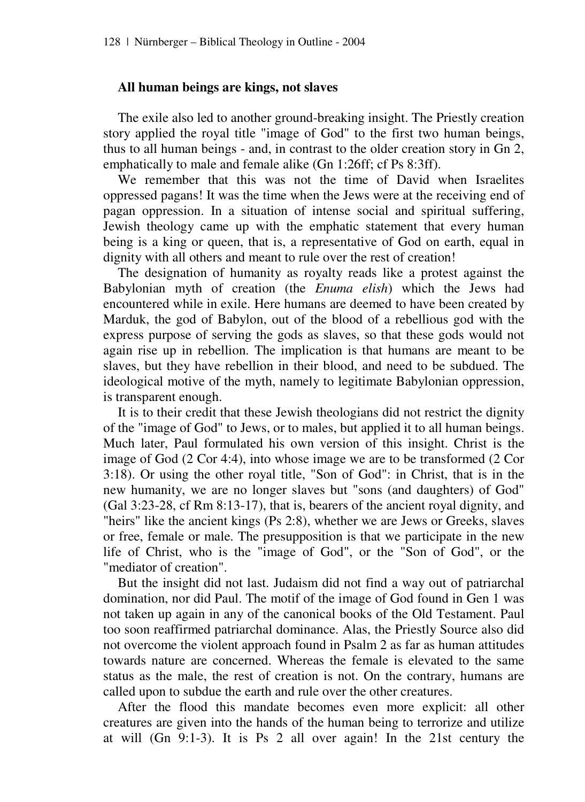### **All human beings are kings, not slaves**

The exile also led to another ground-breaking insight. The Priestly creation story applied the royal title "image of God" to the first two human beings, thus to all human beings - and, in contrast to the older creation story in Gn 2, emphatically to male and female alike (Gn 1:26ff; cf Ps 8:3ff).

We remember that this was not the time of David when Israelites oppressed pagans! It was the time when the Jews were at the receiving end of pagan oppression. In a situation of intense social and spiritual suffering, Jewish theology came up with the emphatic statement that every human being is a king or queen, that is, a representative of God on earth, equal in dignity with all others and meant to rule over the rest of creation!

The designation of humanity as royalty reads like a protest against the Babylonian myth of creation (the *Enuma elish*) which the Jews had encountered while in exile. Here humans are deemed to have been created by Marduk, the god of Babylon, out of the blood of a rebellious god with the express purpose of serving the gods as slaves, so that these gods would not again rise up in rebellion. The implication is that humans are meant to be slaves, but they have rebellion in their blood, and need to be subdued. The ideological motive of the myth, namely to legitimate Babylonian oppression, is transparent enough.

It is to their credit that these Jewish theologians did not restrict the dignity of the "image of God" to Jews, or to males, but applied it to all human beings. Much later, Paul formulated his own version of this insight. Christ is the image of God (2 Cor 4:4), into whose image we are to be transformed (2 Cor 3:18). Or using the other royal title, "Son of God": in Christ, that is in the new humanity, we are no longer slaves but "sons (and daughters) of God" (Gal 3:23-28, cf Rm 8:13-17), that is, bearers of the ancient royal dignity, and "heirs" like the ancient kings (Ps 2:8), whether we are Jews or Greeks, slaves or free, female or male. The presupposition is that we participate in the new life of Christ, who is the "image of God", or the "Son of God", or the "mediator of creation".

But the insight did not last. Judaism did not find a way out of patriarchal domination, nor did Paul. The motif of the image of God found in Gen 1 was not taken up again in any of the canonical books of the Old Testament. Paul too soon reaffirmed patriarchal dominance. Alas, the Priestly Source also did not overcome the violent approach found in Psalm 2 as far as human attitudes towards nature are concerned. Whereas the female is elevated to the same status as the male, the rest of creation is not. On the contrary, humans are called upon to subdue the earth and rule over the other creatures.

After the flood this mandate becomes even more explicit: all other creatures are given into the hands of the human being to terrorize and utilize at will (Gn 9:1-3). It is Ps 2 all over again! In the 21st century the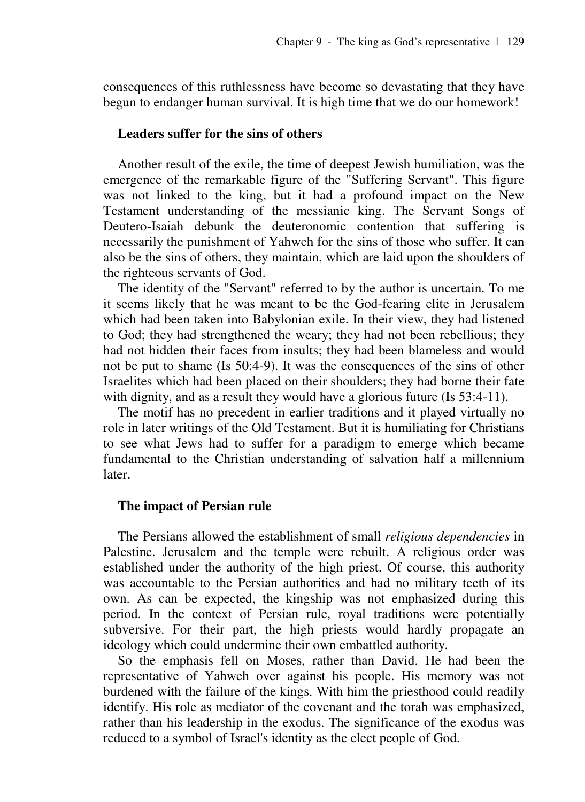consequences of this ruthlessness have become so devastating that they have begun to endanger human survival. It is high time that we do our homework!

#### **Leaders suffer for the sins of others**

Another result of the exile, the time of deepest Jewish humiliation, was the emergence of the remarkable figure of the "Suffering Servant". This figure was not linked to the king, but it had a profound impact on the New Testament understanding of the messianic king. The Servant Songs of Deutero-Isaiah debunk the deuteronomic contention that suffering is necessarily the punishment of Yahweh for the sins of those who suffer. It can also be the sins of others, they maintain, which are laid upon the shoulders of the righteous servants of God.

The identity of the "Servant" referred to by the author is uncertain. To me it seems likely that he was meant to be the God-fearing elite in Jerusalem which had been taken into Babylonian exile. In their view, they had listened to God; they had strengthened the weary; they had not been rebellious; they had not hidden their faces from insults; they had been blameless and would not be put to shame (Is 50:4-9). It was the consequences of the sins of other Israelites which had been placed on their shoulders; they had borne their fate with dignity, and as a result they would have a glorious future (Is 53:4-11).

The motif has no precedent in earlier traditions and it played virtually no role in later writings of the Old Testament. But it is humiliating for Christians to see what Jews had to suffer for a paradigm to emerge which became fundamental to the Christian understanding of salvation half a millennium later.

### **The impact of Persian rule**

The Persians allowed the establishment of small *religious dependencies* in Palestine. Jerusalem and the temple were rebuilt. A religious order was established under the authority of the high priest. Of course, this authority was accountable to the Persian authorities and had no military teeth of its own. As can be expected, the kingship was not emphasized during this period. In the context of Persian rule, royal traditions were potentially subversive. For their part, the high priests would hardly propagate an ideology which could undermine their own embattled authority.

So the emphasis fell on Moses, rather than David. He had been the representative of Yahweh over against his people. His memory was not burdened with the failure of the kings. With him the priesthood could readily identify. His role as mediator of the covenant and the torah was emphasized, rather than his leadership in the exodus. The significance of the exodus was reduced to a symbol of Israel's identity as the elect people of God.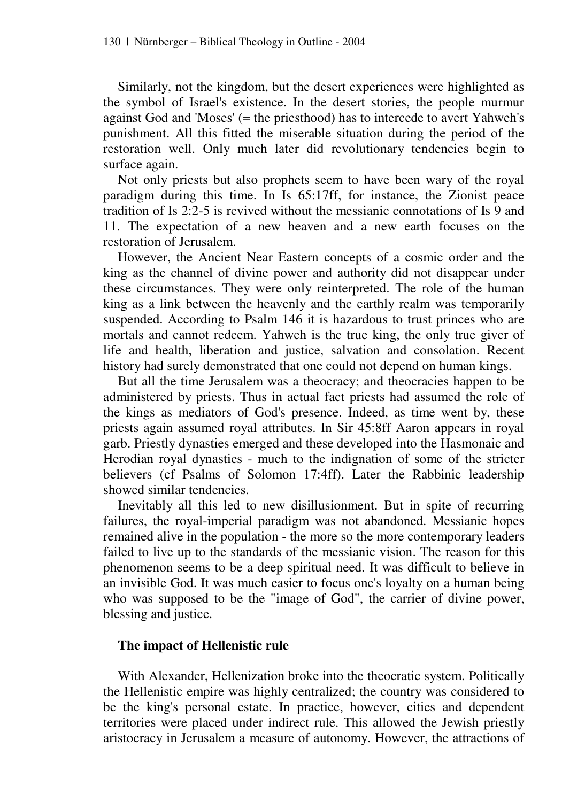Similarly, not the kingdom, but the desert experiences were highlighted as the symbol of Israel's existence. In the desert stories, the people murmur against God and 'Moses' (= the priesthood) has to intercede to avert Yahweh's punishment. All this fitted the miserable situation during the period of the restoration well. Only much later did revolutionary tendencies begin to surface again.

Not only priests but also prophets seem to have been wary of the royal paradigm during this time. In Is 65:17ff, for instance, the Zionist peace tradition of Is 2:2-5 is revived without the messianic connotations of Is 9 and 11. The expectation of a new heaven and a new earth focuses on the restoration of Jerusalem.

However, the Ancient Near Eastern concepts of a cosmic order and the king as the channel of divine power and authority did not disappear under these circumstances. They were only reinterpreted. The role of the human king as a link between the heavenly and the earthly realm was temporarily suspended. According to Psalm 146 it is hazardous to trust princes who are mortals and cannot redeem. Yahweh is the true king, the only true giver of life and health, liberation and justice, salvation and consolation. Recent history had surely demonstrated that one could not depend on human kings.

But all the time Jerusalem was a theocracy; and theocracies happen to be administered by priests. Thus in actual fact priests had assumed the role of the kings as mediators of God's presence. Indeed, as time went by, these priests again assumed royal attributes. In Sir 45:8ff Aaron appears in royal garb. Priestly dynasties emerged and these developed into the Hasmonaic and Herodian royal dynasties - much to the indignation of some of the stricter believers (cf Psalms of Solomon 17:4ff). Later the Rabbinic leadership showed similar tendencies.

Inevitably all this led to new disillusionment. But in spite of recurring failures, the royal-imperial paradigm was not abandoned. Messianic hopes remained alive in the population - the more so the more contemporary leaders failed to live up to the standards of the messianic vision. The reason for this phenomenon seems to be a deep spiritual need. It was difficult to believe in an invisible God. It was much easier to focus one's loyalty on a human being who was supposed to be the "image of God", the carrier of divine power, blessing and justice.

### **The impact of Hellenistic rule**

With Alexander, Hellenization broke into the theocratic system. Politically the Hellenistic empire was highly centralized; the country was considered to be the king's personal estate. In practice, however, cities and dependent territories were placed under indirect rule. This allowed the Jewish priestly aristocracy in Jerusalem a measure of autonomy. However, the attractions of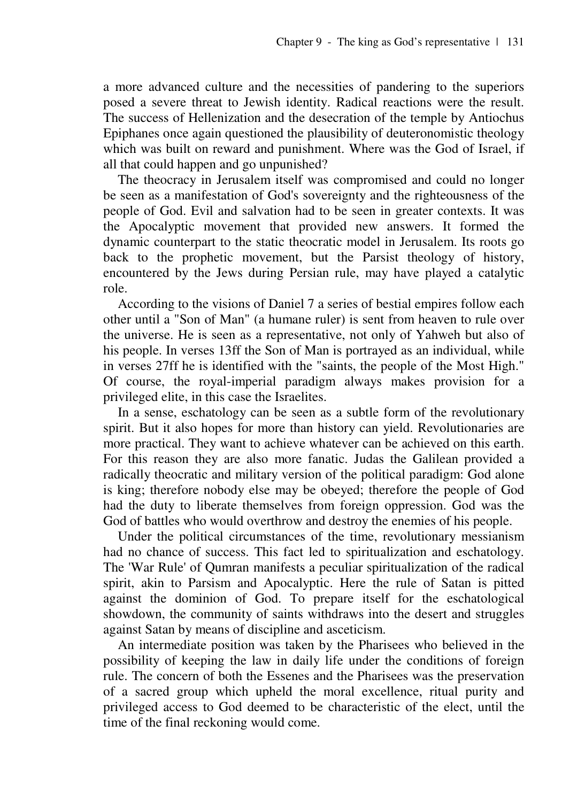a more advanced culture and the necessities of pandering to the superiors posed a severe threat to Jewish identity. Radical reactions were the result. The success of Hellenization and the desecration of the temple by Antiochus Epiphanes once again questioned the plausibility of deuteronomistic theology which was built on reward and punishment. Where was the God of Israel, if all that could happen and go unpunished?

The theocracy in Jerusalem itself was compromised and could no longer be seen as a manifestation of God's sovereignty and the righteousness of the people of God. Evil and salvation had to be seen in greater contexts. It was the Apocalyptic movement that provided new answers. It formed the dynamic counterpart to the static theocratic model in Jerusalem. Its roots go back to the prophetic movement, but the Parsist theology of history, encountered by the Jews during Persian rule, may have played a catalytic role.

According to the visions of Daniel 7 a series of bestial empires follow each other until a "Son of Man" (a humane ruler) is sent from heaven to rule over the universe. He is seen as a representative, not only of Yahweh but also of his people. In verses 13ff the Son of Man is portrayed as an individual, while in verses 27ff he is identified with the "saints, the people of the Most High." Of course, the royal-imperial paradigm always makes provision for a privileged elite, in this case the Israelites.

In a sense, eschatology can be seen as a subtle form of the revolutionary spirit. But it also hopes for more than history can yield. Revolutionaries are more practical. They want to achieve whatever can be achieved on this earth. For this reason they are also more fanatic. Judas the Galilean provided a radically theocratic and military version of the political paradigm: God alone is king; therefore nobody else may be obeyed; therefore the people of God had the duty to liberate themselves from foreign oppression. God was the God of battles who would overthrow and destroy the enemies of his people.

Under the political circumstances of the time, revolutionary messianism had no chance of success. This fact led to spiritualization and eschatology. The 'War Rule' of Qumran manifests a peculiar spiritualization of the radical spirit, akin to Parsism and Apocalyptic. Here the rule of Satan is pitted against the dominion of God. To prepare itself for the eschatological showdown, the community of saints withdraws into the desert and struggles against Satan by means of discipline and asceticism.

An intermediate position was taken by the Pharisees who believed in the possibility of keeping the law in daily life under the conditions of foreign rule. The concern of both the Essenes and the Pharisees was the preservation of a sacred group which upheld the moral excellence, ritual purity and privileged access to God deemed to be characteristic of the elect, until the time of the final reckoning would come.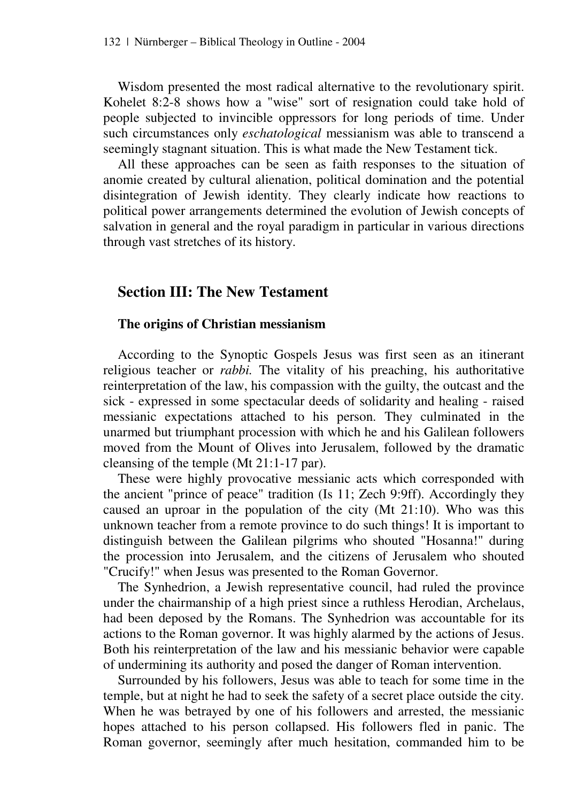Wisdom presented the most radical alternative to the revolutionary spirit. Kohelet 8:2-8 shows how a "wise" sort of resignation could take hold of people subjected to invincible oppressors for long periods of time. Under such circumstances only *eschatological* messianism was able to transcend a seemingly stagnant situation. This is what made the New Testament tick.

All these approaches can be seen as faith responses to the situation of anomie created by cultural alienation, political domination and the potential disintegration of Jewish identity. They clearly indicate how reactions to political power arrangements determined the evolution of Jewish concepts of salvation in general and the royal paradigm in particular in various directions through vast stretches of its history.

### **Section III: The New Testament**

#### **The origins of Christian messianism**

According to the Synoptic Gospels Jesus was first seen as an itinerant religious teacher or *rabbi.* The vitality of his preaching, his authoritative reinterpretation of the law, his compassion with the guilty, the outcast and the sick - expressed in some spectacular deeds of solidarity and healing - raised messianic expectations attached to his person. They culminated in the unarmed but triumphant procession with which he and his Galilean followers moved from the Mount of Olives into Jerusalem, followed by the dramatic cleansing of the temple (Mt 21:1-17 par).

These were highly provocative messianic acts which corresponded with the ancient "prince of peace" tradition (Is 11; Zech 9:9ff). Accordingly they caused an uproar in the population of the city (Mt 21:10). Who was this unknown teacher from a remote province to do such things! It is important to distinguish between the Galilean pilgrims who shouted "Hosanna!" during the procession into Jerusalem, and the citizens of Jerusalem who shouted "Crucify!" when Jesus was presented to the Roman Governor.

The Synhedrion, a Jewish representative council, had ruled the province under the chairmanship of a high priest since a ruthless Herodian, Archelaus, had been deposed by the Romans. The Synhedrion was accountable for its actions to the Roman governor. It was highly alarmed by the actions of Jesus. Both his reinterpretation of the law and his messianic behavior were capable of undermining its authority and posed the danger of Roman intervention.

Surrounded by his followers, Jesus was able to teach for some time in the temple, but at night he had to seek the safety of a secret place outside the city. When he was betrayed by one of his followers and arrested, the messianic hopes attached to his person collapsed. His followers fled in panic. The Roman governor, seemingly after much hesitation, commanded him to be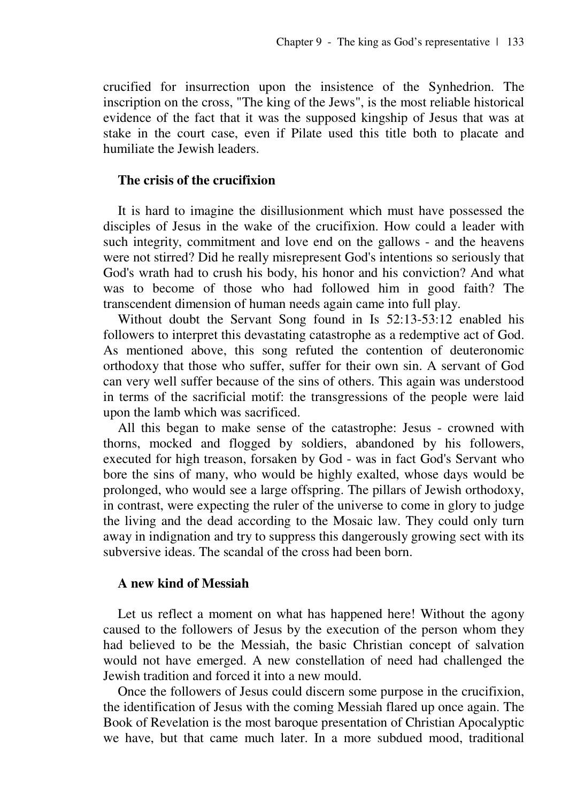crucified for insurrection upon the insistence of the Synhedrion. The inscription on the cross, "The king of the Jews", is the most reliable historical evidence of the fact that it was the supposed kingship of Jesus that was at stake in the court case, even if Pilate used this title both to placate and humiliate the Jewish leaders.

#### **The crisis of the crucifixion**

It is hard to imagine the disillusionment which must have possessed the disciples of Jesus in the wake of the crucifixion. How could a leader with such integrity, commitment and love end on the gallows - and the heavens were not stirred? Did he really misrepresent God's intentions so seriously that God's wrath had to crush his body, his honor and his conviction? And what was to become of those who had followed him in good faith? The transcendent dimension of human needs again came into full play.

Without doubt the Servant Song found in Is 52:13-53:12 enabled his followers to interpret this devastating catastrophe as a redemptive act of God. As mentioned above, this song refuted the contention of deuteronomic orthodoxy that those who suffer, suffer for their own sin. A servant of God can very well suffer because of the sins of others. This again was understood in terms of the sacrificial motif: the transgressions of the people were laid upon the lamb which was sacrificed.

All this began to make sense of the catastrophe: Jesus - crowned with thorns, mocked and flogged by soldiers, abandoned by his followers, executed for high treason, forsaken by God - was in fact God's Servant who bore the sins of many, who would be highly exalted, whose days would be prolonged, who would see a large offspring. The pillars of Jewish orthodoxy, in contrast, were expecting the ruler of the universe to come in glory to judge the living and the dead according to the Mosaic law. They could only turn away in indignation and try to suppress this dangerously growing sect with its subversive ideas. The scandal of the cross had been born.

#### **A new kind of Messiah**

Let us reflect a moment on what has happened here! Without the agony caused to the followers of Jesus by the execution of the person whom they had believed to be the Messiah, the basic Christian concept of salvation would not have emerged. A new constellation of need had challenged the Jewish tradition and forced it into a new mould.

Once the followers of Jesus could discern some purpose in the crucifixion, the identification of Jesus with the coming Messiah flared up once again. The Book of Revelation is the most baroque presentation of Christian Apocalyptic we have, but that came much later. In a more subdued mood, traditional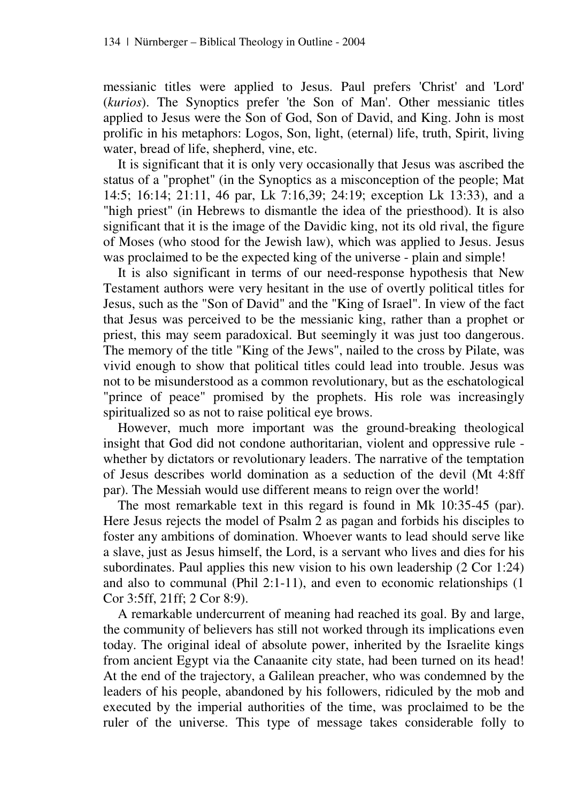messianic titles were applied to Jesus. Paul prefers 'Christ' and 'Lord' (*kurios*). The Synoptics prefer 'the Son of Man'. Other messianic titles applied to Jesus were the Son of God, Son of David, and King. John is most prolific in his metaphors: Logos, Son, light, (eternal) life, truth, Spirit, living water, bread of life, shepherd, vine, etc.

It is significant that it is only very occasionally that Jesus was ascribed the status of a "prophet" (in the Synoptics as a misconception of the people; Mat 14:5; 16:14; 21:11, 46 par, Lk 7:16,39; 24:19; exception Lk 13:33), and a "high priest" (in Hebrews to dismantle the idea of the priesthood). It is also significant that it is the image of the Davidic king, not its old rival, the figure of Moses (who stood for the Jewish law), which was applied to Jesus. Jesus was proclaimed to be the expected king of the universe - plain and simple!

It is also significant in terms of our need-response hypothesis that New Testament authors were very hesitant in the use of overtly political titles for Jesus, such as the "Son of David" and the "King of Israel". In view of the fact that Jesus was perceived to be the messianic king, rather than a prophet or priest, this may seem paradoxical. But seemingly it was just too dangerous. The memory of the title "King of the Jews", nailed to the cross by Pilate, was vivid enough to show that political titles could lead into trouble. Jesus was not to be misunderstood as a common revolutionary, but as the eschatological "prince of peace" promised by the prophets. His role was increasingly spiritualized so as not to raise political eye brows.

However, much more important was the ground-breaking theological insight that God did not condone authoritarian, violent and oppressive rule whether by dictators or revolutionary leaders. The narrative of the temptation of Jesus describes world domination as a seduction of the devil (Mt 4:8ff par). The Messiah would use different means to reign over the world!

The most remarkable text in this regard is found in Mk 10:35-45 (par). Here Jesus rejects the model of Psalm 2 as pagan and forbids his disciples to foster any ambitions of domination. Whoever wants to lead should serve like a slave, just as Jesus himself, the Lord, is a servant who lives and dies for his subordinates. Paul applies this new vision to his own leadership (2 Cor 1:24) and also to communal (Phil 2:1-11), and even to economic relationships (1 Cor 3:5ff, 21ff; 2 Cor 8:9).

A remarkable undercurrent of meaning had reached its goal. By and large, the community of believers has still not worked through its implications even today. The original ideal of absolute power, inherited by the Israelite kings from ancient Egypt via the Canaanite city state, had been turned on its head! At the end of the trajectory, a Galilean preacher, who was condemned by the leaders of his people, abandoned by his followers, ridiculed by the mob and executed by the imperial authorities of the time, was proclaimed to be the ruler of the universe. This type of message takes considerable folly to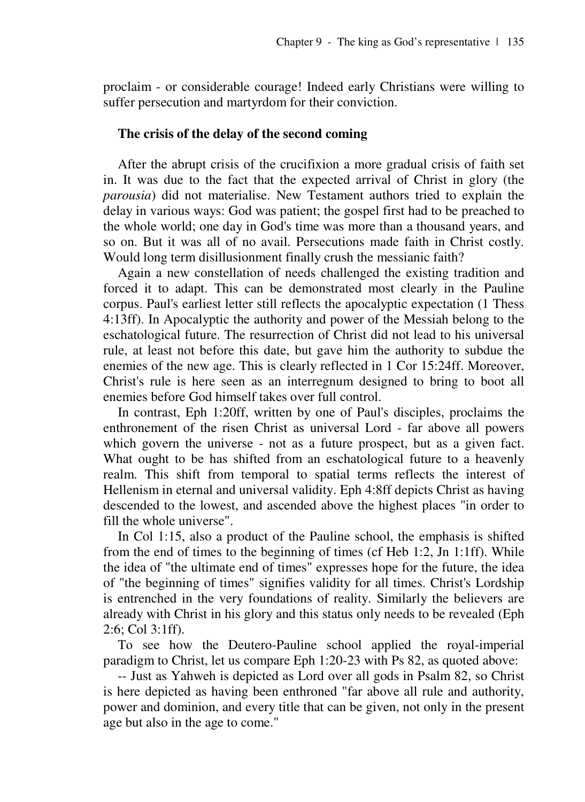proclaim - or considerable courage! Indeed early Christians were willing to suffer persecution and martyrdom for their conviction.

### **The crisis of the delay of the second coming**

After the abrupt crisis of the crucifixion a more gradual crisis of faith set in. It was due to the fact that the expected arrival of Christ in glory (the *parousia*) did not materialise. New Testament authors tried to explain the delay in various ways: God was patient; the gospel first had to be preached to the whole world; one day in God's time was more than a thousand years, and so on. But it was all of no avail. Persecutions made faith in Christ costly. Would long term disillusionment finally crush the messianic faith?

Again a new constellation of needs challenged the existing tradition and forced it to adapt. This can be demonstrated most clearly in the Pauline corpus. Paul's earliest letter still reflects the apocalyptic expectation (1 Thess 4:13ff). In Apocalyptic the authority and power of the Messiah belong to the eschatological future. The resurrection of Christ did not lead to his universal rule, at least not before this date, but gave him the authority to subdue the enemies of the new age. This is clearly reflected in 1 Cor 15:24ff. Moreover, Christ's rule is here seen as an interregnum designed to bring to boot all enemies before God himself takes over full control.

In contrast, Eph 1:20ff, written by one of Paul's disciples, proclaims the enthronement of the risen Christ as universal Lord - far above all powers which govern the universe - not as a future prospect, but as a given fact. What ought to be has shifted from an eschatological future to a heavenly realm. This shift from temporal to spatial terms reflects the interest of Hellenism in eternal and universal validity. Eph 4:8ff depicts Christ as having descended to the lowest, and ascended above the highest places "in order to fill the whole universe".

In Col 1:15, also a product of the Pauline school, the emphasis is shifted from the end of times to the beginning of times (cf Heb 1:2,  $\overline{J}$ n 1:1ff). While the idea of "the ultimate end of times" expresses hope for the future, the idea of "the beginning of times" signifies validity for all times. Christ's Lordship is entrenched in the very foundations of reality. Similarly the believers are already with Christ in his glory and this status only needs to be revealed (Eph 2:6; Col 3:1ff).

To see how the Deutero-Pauline school applied the royal-imperial paradigm to Christ, let us compare Eph 1:20-23 with Ps 82, as quoted above:

-- Just as Yahweh is depicted as Lord over all gods in Psalm 82, so Christ is here depicted as having been enthroned "far above all rule and authority, power and dominion, and every title that can be given, not only in the present age but also in the age to come."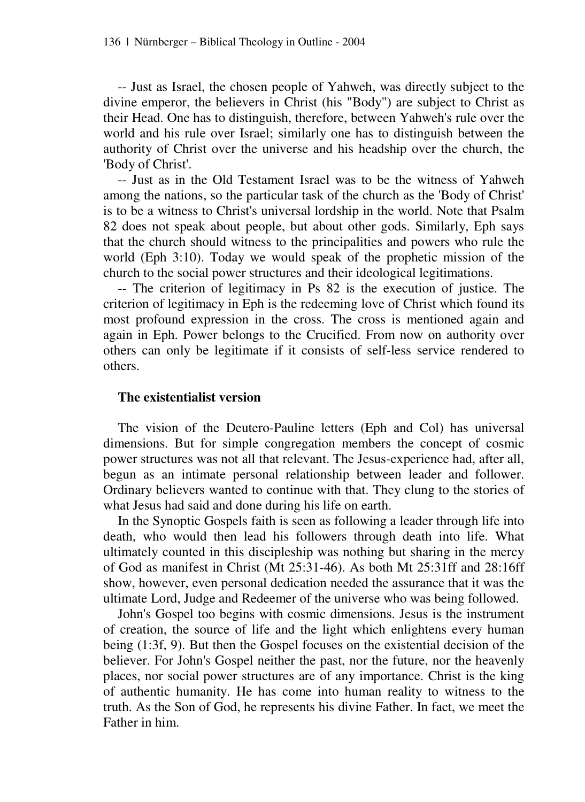-- Just as Israel, the chosen people of Yahweh, was directly subject to the divine emperor, the believers in Christ (his "Body") are subject to Christ as their Head. One has to distinguish, therefore, between Yahweh's rule over the world and his rule over Israel; similarly one has to distinguish between the authority of Christ over the universe and his headship over the church, the 'Body of Christ'.

-- Just as in the Old Testament Israel was to be the witness of Yahweh among the nations, so the particular task of the church as the 'Body of Christ' is to be a witness to Christ's universal lordship in the world. Note that Psalm 82 does not speak about people, but about other gods. Similarly, Eph says that the church should witness to the principalities and powers who rule the world (Eph 3:10). Today we would speak of the prophetic mission of the church to the social power structures and their ideological legitimations.

-- The criterion of legitimacy in Ps 82 is the execution of justice. The criterion of legitimacy in Eph is the redeeming love of Christ which found its most profound expression in the cross. The cross is mentioned again and again in Eph. Power belongs to the Crucified. From now on authority over others can only be legitimate if it consists of self-less service rendered to others.

### **The existentialist version**

The vision of the Deutero-Pauline letters (Eph and Col) has universal dimensions. But for simple congregation members the concept of cosmic power structures was not all that relevant. The Jesus-experience had, after all, begun as an intimate personal relationship between leader and follower. Ordinary believers wanted to continue with that. They clung to the stories of what Jesus had said and done during his life on earth.

In the Synoptic Gospels faith is seen as following a leader through life into death, who would then lead his followers through death into life. What ultimately counted in this discipleship was nothing but sharing in the mercy of God as manifest in Christ (Mt 25:31-46). As both Mt 25:31ff and 28:16ff show, however, even personal dedication needed the assurance that it was the ultimate Lord, Judge and Redeemer of the universe who was being followed.

John's Gospel too begins with cosmic dimensions. Jesus is the instrument of creation, the source of life and the light which enlightens every human being (1:3f, 9). But then the Gospel focuses on the existential decision of the believer. For John's Gospel neither the past, nor the future, nor the heavenly places, nor social power structures are of any importance. Christ is the king of authentic humanity. He has come into human reality to witness to the truth. As the Son of God, he represents his divine Father. In fact, we meet the Father in him.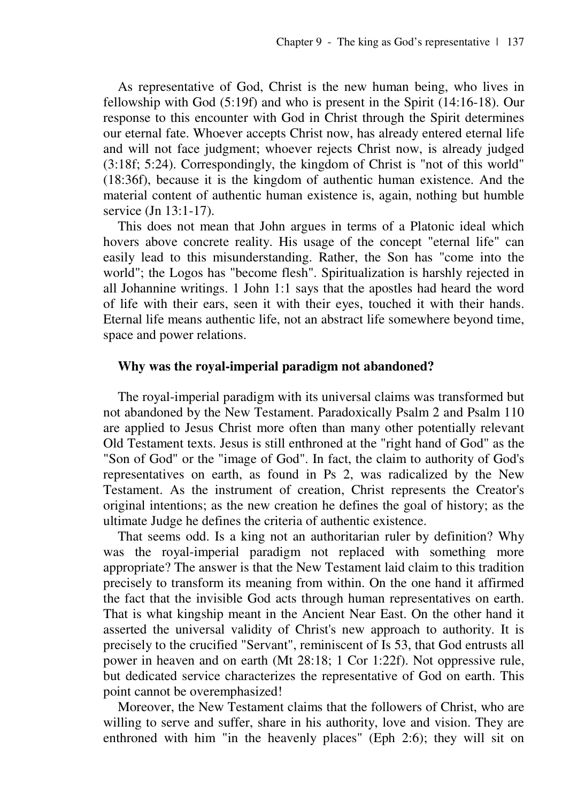As representative of God, Christ is the new human being, who lives in fellowship with God (5:19f) and who is present in the Spirit (14:16-18). Our response to this encounter with God in Christ through the Spirit determines our eternal fate. Whoever accepts Christ now, has already entered eternal life and will not face judgment; whoever rejects Christ now, is already judged (3:18f; 5:24). Correspondingly, the kingdom of Christ is "not of this world" (18:36f), because it is the kingdom of authentic human existence. And the material content of authentic human existence is, again, nothing but humble service (Jn 13:1-17).

This does not mean that John argues in terms of a Platonic ideal which hovers above concrete reality. His usage of the concept "eternal life" can easily lead to this misunderstanding. Rather, the Son has "come into the world"; the Logos has "become flesh". Spiritualization is harshly rejected in all Johannine writings. 1 John 1:1 says that the apostles had heard the word of life with their ears, seen it with their eyes, touched it with their hands. Eternal life means authentic life, not an abstract life somewhere beyond time, space and power relations.

#### **Why was the royal-imperial paradigm not abandoned?**

The royal-imperial paradigm with its universal claims was transformed but not abandoned by the New Testament. Paradoxically Psalm 2 and Psalm 110 are applied to Jesus Christ more often than many other potentially relevant Old Testament texts. Jesus is still enthroned at the "right hand of God" as the "Son of God" or the "image of God". In fact, the claim to authority of God's representatives on earth, as found in Ps 2, was radicalized by the New Testament. As the instrument of creation, Christ represents the Creator's original intentions; as the new creation he defines the goal of history; as the ultimate Judge he defines the criteria of authentic existence.

That seems odd. Is a king not an authoritarian ruler by definition? Why was the royal-imperial paradigm not replaced with something more appropriate? The answer is that the New Testament laid claim to this tradition precisely to transform its meaning from within. On the one hand it affirmed the fact that the invisible God acts through human representatives on earth. That is what kingship meant in the Ancient Near East. On the other hand it asserted the universal validity of Christ's new approach to authority. It is precisely to the crucified "Servant", reminiscent of Is 53, that God entrusts all power in heaven and on earth (Mt 28:18; 1 Cor 1:22f). Not oppressive rule, but dedicated service characterizes the representative of God on earth. This point cannot be overemphasized!

Moreover, the New Testament claims that the followers of Christ, who are willing to serve and suffer, share in his authority, love and vision. They are enthroned with him "in the heavenly places" (Eph 2:6); they will sit on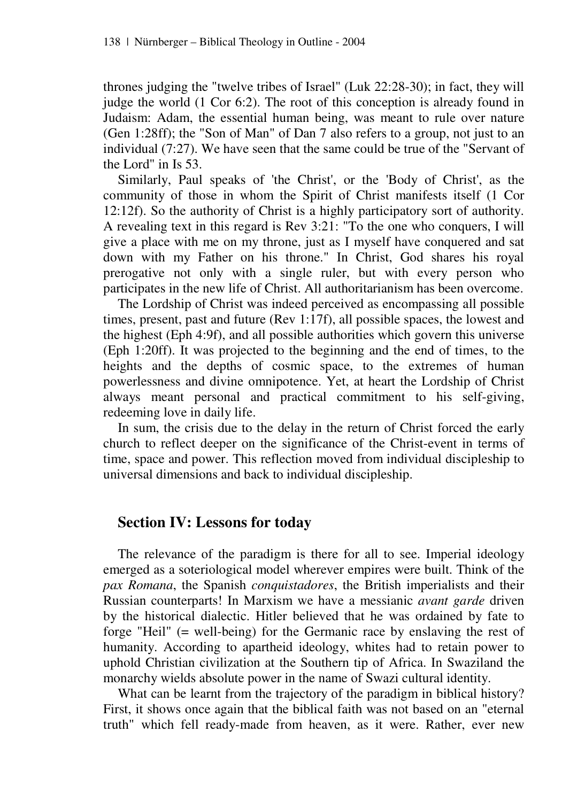thrones judging the "twelve tribes of Israel" (Luk 22:28-30); in fact, they will judge the world (1 Cor 6:2). The root of this conception is already found in Judaism: Adam, the essential human being, was meant to rule over nature (Gen 1:28ff); the "Son of Man" of Dan 7 also refers to a group, not just to an individual (7:27). We have seen that the same could be true of the "Servant of the Lord" in Is 53.

Similarly, Paul speaks of 'the Christ', or the 'Body of Christ', as the community of those in whom the Spirit of Christ manifests itself (1 Cor 12:12f). So the authority of Christ is a highly participatory sort of authority. A revealing text in this regard is Rev 3:21: "To the one who conquers, I will give a place with me on my throne, just as I myself have conquered and sat down with my Father on his throne." In Christ, God shares his royal prerogative not only with a single ruler, but with every person who participates in the new life of Christ. All authoritarianism has been overcome.

The Lordship of Christ was indeed perceived as encompassing all possible times, present, past and future (Rev 1:17f), all possible spaces, the lowest and the highest (Eph 4:9f), and all possible authorities which govern this universe (Eph 1:20ff). It was projected to the beginning and the end of times, to the heights and the depths of cosmic space, to the extremes of human powerlessness and divine omnipotence. Yet, at heart the Lordship of Christ always meant personal and practical commitment to his self-giving, redeeming love in daily life.

In sum, the crisis due to the delay in the return of Christ forced the early church to reflect deeper on the significance of the Christ-event in terms of time, space and power. This reflection moved from individual discipleship to universal dimensions and back to individual discipleship.

### **Section IV: Lessons for today**

The relevance of the paradigm is there for all to see. Imperial ideology emerged as a soteriological model wherever empires were built. Think of the *pax Romana*, the Spanish *conquistadores*, the British imperialists and their Russian counterparts! In Marxism we have a messianic *avant garde* driven by the historical dialectic. Hitler believed that he was ordained by fate to forge "Heil" (= well-being) for the Germanic race by enslaving the rest of humanity. According to apartheid ideology, whites had to retain power to uphold Christian civilization at the Southern tip of Africa. In Swaziland the monarchy wields absolute power in the name of Swazi cultural identity.

What can be learnt from the trajectory of the paradigm in biblical history? First, it shows once again that the biblical faith was not based on an "eternal truth" which fell ready-made from heaven, as it were. Rather, ever new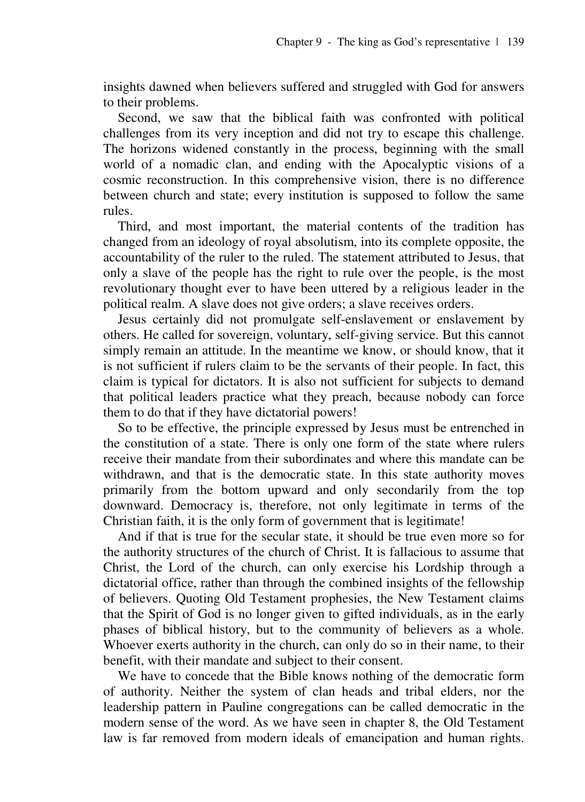insights dawned when believers suffered and struggled with God for answers to their problems.

Second, we saw that the biblical faith was confronted with political challenges from its very inception and did not try to escape this challenge. The horizons widened constantly in the process, beginning with the small world of a nomadic clan, and ending with the Apocalyptic visions of a cosmic reconstruction. In this comprehensive vision, there is no difference between church and state; every institution is supposed to follow the same rules.

Third, and most important, the material contents of the tradition has changed from an ideology of royal absolutism, into its complete opposite, the accountability of the ruler to the ruled. The statement attributed to Jesus, that only a slave of the people has the right to rule over the people, is the most revolutionary thought ever to have been uttered by a religious leader in the political realm. A slave does not give orders; a slave receives orders.

Jesus certainly did not promulgate self-enslavement or enslavement by others. He called for sovereign, voluntary, self-giving service. But this cannot simply remain an attitude. In the meantime we know, or should know, that it is not sufficient if rulers claim to be the servants of their people. In fact, this claim is typical for dictators. It is also not sufficient for subjects to demand that political leaders practice what they preach, because nobody can force them to do that if they have dictatorial powers!

So to be effective, the principle expressed by Jesus must be entrenched in the constitution of a state. There is only one form of the state where rulers receive their mandate from their subordinates and where this mandate can be withdrawn, and that is the democratic state. In this state authority moves primarily from the bottom upward and only secondarily from the top downward. Democracy is, therefore, not only legitimate in terms of the Christian faith, it is the only form of government that is legitimate!

And if that is true for the secular state, it should be true even more so for the authority structures of the church of Christ. It is fallacious to assume that Christ, the Lord of the church, can only exercise his Lordship through a dictatorial office, rather than through the combined insights of the fellowship of believers. Quoting Old Testament prophesies, the New Testament claims that the Spirit of God is no longer given to gifted individuals, as in the early phases of biblical history, but to the community of believers as a whole. Whoever exerts authority in the church, can only do so in their name, to their benefit, with their mandate and subject to their consent.

We have to concede that the Bible knows nothing of the democratic form of authority. Neither the system of clan heads and tribal elders, nor the leadership pattern in Pauline congregations can be called democratic in the modern sense of the word. As we have seen in chapter 8, the Old Testament law is far removed from modern ideals of emancipation and human rights.